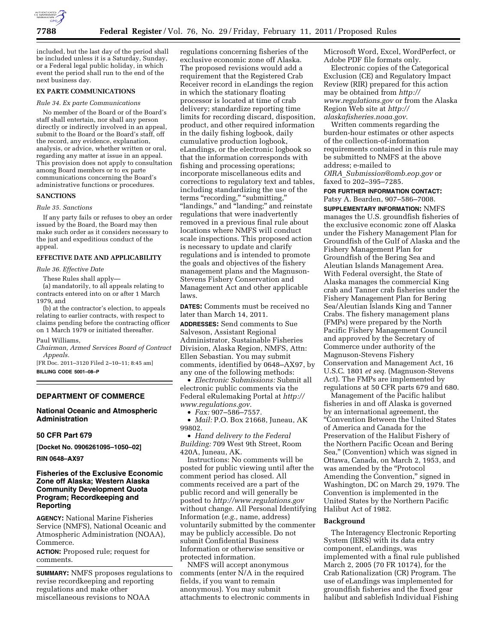

included, but the last day of the period shall be included unless it is a Saturday, Sunday, or a Federal legal public holiday, in which event the period shall run to the end of the next business day.

#### **EX PARTE COMMUNICATIONS**

#### *Rule 34. Ex parte Communications*

No member of the Board or of the Board's staff shall entertain, nor shall any person directly or indirectly involved in an appeal, submit to the Board or the Board's staff, off the record, any evidence, explanation, analysis, or advice, whether written or oral, regarding any matter at issue in an appeal. This provision does not apply to consultation among Board members or to ex parte communications concerning the Board's administrative functions or procedures.

#### **SANCTIONS**

#### *Rule 35. Sanctions*

If any party fails or refuses to obey an order issued by the Board, the Board may then make such order as it considers necessary to the just and expeditious conduct of the appeal.

### **EFFECTIVE DATE AND APPLICABILITY**

#### *Rule 36. Effective Date*

These Rules shall apply—

(a) mandatorily, to all appeals relating to contracts entered into on or after 1 March 1979, and

(b) at the contractor's election, to appeals relating to earlier contracts, with respect to claims pending before the contracting officer on 1 March 1979 or initiated thereafter.

#### Paul Williams,

*Chairman, Armed Services Board of Contract Appeals.* 

[FR Doc. 2011–3120 Filed 2–10–11; 8:45 am]

**BILLING CODE 5001–08–P** 

## **DEPARTMENT OF COMMERCE**

#### **National Oceanic and Atmospheric Administration**

### **50 CFR Part 679**

**[Docket No. 0906261095–1050–02]** 

**RIN 0648–AX97** 

## **Fisheries of the Exclusive Economic Zone off Alaska; Western Alaska Community Development Quota Program; Recordkeeping and Reporting**

**AGENCY:** National Marine Fisheries Service (NMFS), National Oceanic and Atmospheric Administration (NOAA), Commerce.

**ACTION:** Proposed rule; request for comments.

**SUMMARY:** NMFS proposes regulations to revise recordkeeping and reporting regulations and make other miscellaneous revisions to NOAA

regulations concerning fisheries of the exclusive economic zone off Alaska. The proposed revisions would add a requirement that the Registered Crab Receiver record in eLandings the region in which the stationary floating processor is located at time of crab delivery; standardize reporting time limits for recording discard, disposition, product, and other required information in the daily fishing logbook, daily cumulative production logbook, eLandings, or the electronic logbook so that the information corresponds with fishing and processing operations; incorporate miscellaneous edits and corrections to regulatory text and tables, including standardizing the use of the terms "recording," "submitting," ''landings,'' and ''landing;'' and reinstate regulations that were inadvertently removed in a previous final rule about locations where NMFS will conduct scale inspections. This proposed action is necessary to update and clarify regulations and is intended to promote the goals and objectives of the fishery management plans and the Magnuson-Stevens Fishery Conservation and Management Act and other applicable laws.

**DATES:** Comments must be received no later than March 14, 2011.

**ADDRESSES:** Send comments to Sue Salveson, Assistant Regional Administrator, Sustainable Fisheries Division, Alaska Region, NMFS, Attn: Ellen Sebastian. You may submit comments, identified by 0648–AX97, by any one of the following methods:

• *Electronic Submissions:* Submit all electronic public comments via the Federal eRulemaking Portal at *[http://](http://www.regulations.gov) [www.regulations.gov](http://www.regulations.gov)*.

• *Fax:* 907–586–7557.

• *Mail:* P.O. Box 21668, Juneau, AK 99802.

• *Hand delivery to the Federal Building:* 709 West 9th Street, Room 420A, Juneau, AK.

Instructions: No comments will be posted for public viewing until after the comment period has closed. All comments received are a part of the public record and will generally be posted to *<http://www.regulations.gov>* without change. All Personal Identifying Information (*e.g.,* name, address) voluntarily submitted by the commenter may be publicly accessible. Do not submit Confidential Business Information or otherwise sensitive or protected information.

NMFS will accept anonymous comments (enter N/A in the required fields, if you want to remain anonymous). You may submit attachments to electronic comments in Microsoft Word, Excel, WordPerfect, or Adobe PDF file formats only.

Electronic copies of the Categorical Exclusion (CE) and Regulatory Impact Review (RIR) prepared for this action may be obtained from *[http://](http://www.regulations.gov)  [www.regulations.gov](http://www.regulations.gov)* or from the Alaska Region Web site at *[http://](http://alaskafisheries.noaa.gov) [alaskafisheries.noaa.gov](http://alaskafisheries.noaa.gov)*.

Written comments regarding the burden-hour estimates or other aspects of the collection-of-information requirements contained in this rule may be submitted to NMFS at the above address; e-mailed to *OIRA*\_*[Submission@omb.eop.gov](mailto:OIRA_Submission@omb.eop.gov)* or faxed to 202–395–7285.

## **FOR FURTHER INFORMATION CONTACT:**  Patsy A. Bearden, 907–586–7008.

**SUPPLEMENTARY INFORMATION:** NMFS manages the U.S. groundfish fisheries of the exclusive economic zone off Alaska under the Fishery Management Plan for Groundfish of the Gulf of Alaska and the Fishery Management Plan for Groundfish of the Bering Sea and Aleutian Islands Management Area. With Federal oversight, the State of Alaska manages the commercial King crab and Tanner crab fisheries under the Fishery Management Plan for Bering Sea/Aleutian Islands King and Tanner Crabs. The fishery management plans (FMPs) were prepared by the North Pacific Fishery Management Council and approved by the Secretary of Commerce under authority of the Magnuson-Stevens Fishery Conservation and Management Act, 16 U.S.C. 1801 *et seq.* (Magnuson-Stevens Act). The FMPs are implemented by regulations at 50 CFR parts 679 and 680.

Management of the Pacific halibut fisheries in and off Alaska is governed by an international agreement, the ''Convention Between the United States of America and Canada for the Preservation of the Halibut Fishery of the Northern Pacific Ocean and Bering Sea,'' (Convention) which was signed in Ottawa, Canada, on March 2, 1953, and was amended by the ''Protocol Amending the Convention,'' signed in Washington, DC on March 29, 1979. The Convention is implemented in the United States by the Northern Pacific Halibut Act of 1982.

### **Background**

The Interagency Electronic Reporting System (IERS) with its data entry component, eLandings, was implemented with a final rule published March 2, 2005 (70 FR 10174), for the Crab Rationalization (CR) Program. The use of eLandings was implemented for groundfish fisheries and the fixed gear halibut and sablefish Individual Fishing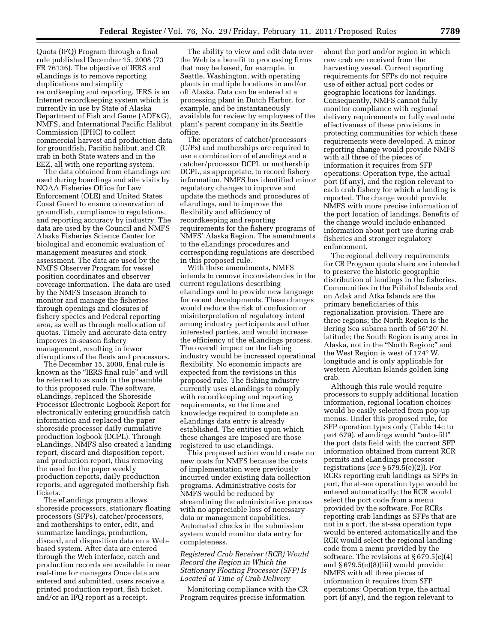Quota (IFQ) Program through a final rule published December 15, 2008 (73 FR 76136). The objective of IERS and eLandings is to remove reporting duplications and simplify recordkeeping and reporting. IERS is an Internet recordkeeping system which is currently in use by State of Alaska Department of Fish and Game (ADF&G), NMFS, and International Pacific Halibut Commission (IPHC) to collect commercial harvest and production data for groundfish, Pacific halibut, and CR crab in both State waters and in the EEZ, all with one reporting system.

The data obtained from eLandings are used during boardings and site visits by NOAA Fisheries Office for Law Enforcement (OLE) and United States Coast Guard to ensure conservation of groundfish, compliance to regulations, and reporting accuracy by industry. The data are used by the Council and NMFS Alaska Fisheries Science Center for biological and economic evaluation of management measures and stock assessment. The data are used by the NMFS Observer Program for vessel position coordinates and observer coverage information. The data are used by the NMFS Inseason Branch to monitor and manage the fisheries through openings and closures of fishery species and Federal reporting area, as well as through reallocation of quotas. Timely and accurate data entry improves in-season fishery management, resulting in fewer disruptions of the fleets and processors.

The December 15, 2008, final rule is known as the ''IERS final rule'' and will be referred to as such in the preamble to this proposed rule. The software, eLandings, replaced the Shoreside Processor Electronic Logbook Report for electronically entering groundfish catch information and replaced the paper shoreside processor daily cumulative production logbook (DCPL). Through eLandings, NMFS also created a landing report, discard and disposition report, and production report, thus removing the need for the paper weekly production reports, daily production reports, and aggregated mothership fish tickets.

The eLandings program allows shoreside processors, stationary floating processors (SFPs), catcher/processors, and motherships to enter, edit, and summarize landings, production, discard, and disposition data on a Webbased system. After data are entered through the Web interface, catch and production records are available in near real-time for managers Once data are entered and submitted, users receive a printed production report, fish ticket, and/or an IFQ report as a receipt.

The ability to view and edit data over the Web is a benefit to processing firms that may be based, for example, in Seattle, Washington, with operating plants in multiple locations in and/or off Alaska. Data can be entered at a processing plant in Dutch Harbor, for example, and be instantaneously available for review by employees of the plant's parent company in its Seattle office.

The operators of catcher/processors (C/Ps) and motherships are required to use a combination of eLandings and a catcher/processor DCPL or mothership DCPL, as appropriate, to record fishery information. NMFS has identified minor regulatory changes to improve and update the methods and procedures of eLandings, and to improve the flexibility and efficiency of recordkeeping and reporting requirements for the fishery programs of NMFS' Alaska Region. The amendments to the eLandings procedures and corresponding regulations are described in this proposed rule.

With these amendments, NMFS intends to remove inconsistencies in the current regulations describing eLandings and to provide new language for recent developments. These changes would reduce the risk of confusion or misinterpretation of regulatory intent among industry participants and other interested parties, and would increase the efficiency of the eLandings process. The overall impact on the fishing industry would be increased operational flexibility. No economic impacts are expected from the revisions in this proposed rule. The fishing industry currently uses eLandings to comply with recordkeeping and reporting requirements, so the time and knowledge required to complete an eLandings data entry is already established. The entities upon which these changes are imposed are those registered to use eLandings.

This proposed action would create no new costs for NMFS because the costs of implementation were previously incurred under existing data collection programs. Administrative costs for NMFS would be reduced by streamlining the administrative process with no appreciable loss of necessary data or management capabilities. Automated checks in the submission system would monitor data entry for completeness.

## *Registered Crab Receiver (RCR) Would Record the Region in Which the Stationary Floating Processor (SFP) Is Located at Time of Crab Delivery*

Monitoring compliance with the CR Program requires precise information

about the port and/or region in which raw crab are received from the harvesting vessel. Current reporting requirements for SFPs do not require use of either actual port codes or geographic locations for landings. Consequently, NMFS cannot fully monitor compliance with regional delivery requirements or fully evaluate effectiveness of these provisions in protecting communities for which these requirements were developed. A minor reporting change would provide NMFS with all three of the pieces of information it requires from SFP operations: Operation type, the actual port (if any), and the region relevant to each crab fishery for which a landing is reported. The change would provide NMFS with more precise information of the port location of landings. Benefits of the change would include enhanced information about port use during crab fisheries and stronger regulatory enforcement.

The regional delivery requirements for CR Program quota share are intended to preserve the historic geographic distribution of landings in the fisheries. Communities in the Pribilof Islands and on Adak and Atka Islands are the primary beneficiaries of this regionalization provision. There are three regions; the North Region is the Bering Sea subarea north of 56°20′ N. latitude; the South Region is any area in Alaska, not in the ''North Region;'' and the West Region is west of 174° W. longitude and is only applicable for western Aleutian Islands golden king crab.

Although this rule would require processors to supply additional location information, regional location choices would be easily selected from pop-up menus. Under this proposed rule, for SFP operation types only (Table 14c to part 679), eLandings would ''auto-fill'' the port data field with the current SFP information obtained from current RCR permits and eLandings processor registrations (*see* § 679.5(e)(2)). For RCRs reporting crab landings as SFPs in port, the at-sea operation type would be entered automatically; the RCR would select the port code from a menu provided by the software. For RCRs reporting crab landings as SFPs that are not in a port, the at-sea operation type would be entered automatically and the RCR would select the regional landing code from a menu provided by the software. The revisions at § 679.5(e)(4) and § 679.5(e)(8)(iii) would provide NMFS with all three pieces of information it requires from SFP operations: Operation type, the actual port (if any), and the region relevant to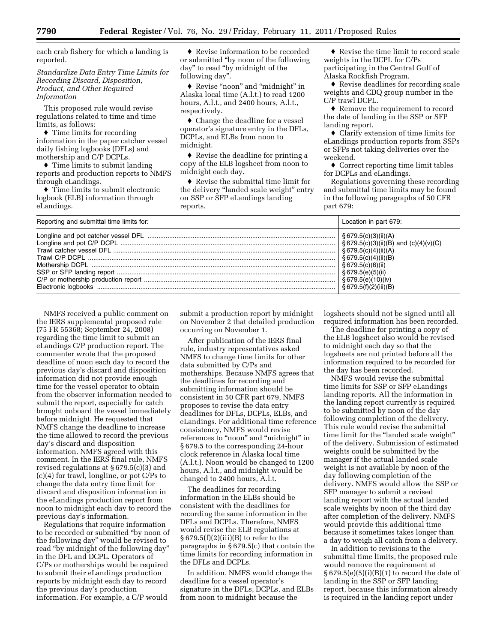each crab fishery for which a landing is reported.

*Standardize Data Entry Time Limits for Recording Discard, Disposition, Product, and Other Required Information* 

This proposed rule would revise regulations related to time and time limits, as follows:

♦ Time limits for recording information in the paper catcher vessel daily fishing logbooks (DFLs) and mothership and C/P DCPLs.

♦ Time limits to submit landing reports and production reports to NMFS through eLandings.

♦ Time limits to submit electronic logbook (ELB) information through eLandings.

♦ Revise information to be recorded or submitted ''by noon of the following day'' to read ''by midnight of the following day''.

♦ Revise ''noon'' and ''midnight'' in Alaska local time (A.l.t.) to read 1200 hours, A.l.t., and 2400 hours, A.l.t., respectively.

♦ Change the deadline for a vessel operator's signature entry in the DFLs, DCPLs, and ELBs from noon to midnight.

♦ Revise the deadline for printing a copy of the ELB logsheet from noon to midnight each day.

♦ Revise the submittal time limit for the delivery ''landed scale weight'' entry on SSP or SFP eLandings landing reports.

♦ Revise the time limit to record scale weights in the DCPL for C/Ps participating in the Central Gulf of Alaska Rockfish Program.

♦ Revise deadlines for recording scale weights and CDQ group number in the C/P trawl DCPL.

♦ Remove the requirement to record the date of landing in the SSP or SFP landing report.

♦ Clarify extension of time limits for eLandings production reports from SSPs or SFPs not taking deliveries over the weekend.

♦ Correct reporting time limit tables for DCPLs and eLandings.

Regulations governing these recording and submittal time limits may be found in the following paragraphs of 50 CFR part 679:

| Reporting and submittal time limits for: | Location in part 679:                                                                                                                           |
|------------------------------------------|-------------------------------------------------------------------------------------------------------------------------------------------------|
|                                          | $\frac{1}{2}$ § 679.5(c)(4)(ii)(A)<br>$\frac{1}{2}$ § 679.5(c)(4)(ii)(B)<br>$\frac{1}{2}$ § 679.5(c)(6)(ii)<br>$\frac{1}{5}$ 679.5(f)(2)(iii)(B |

NMFS received a public comment on the IERS supplemental proposed rule (75 FR 55368; September 24, 2008) regarding the time limit to submit an eLandings C/P production report. The commenter wrote that the proposed deadline of noon each day to record the previous day's discard and disposition information did not provide enough time for the vessel operator to obtain from the observer information needed to submit the report, especially for catch brought onboard the vessel immediately before midnight. He requested that NMFS change the deadline to increase the time allowed to record the previous day's discard and disposition information. NMFS agreed with this comment. In the IERS final rule, NMFS revised regulations at § 679.5(c)(3) and (c)(4) for trawl, longline, or pot C/Ps to change the data entry time limit for discard and disposition information in the eLandings production report from noon to midnight each day to record the previous day's information.

Regulations that require information to be recorded or submitted ''by noon of the following day'' would be revised to read "by midnight of the following day" in the DFL and DCPL. Operators of C/Ps or motherships would be required to submit their eLandings production reports by midnight each day to record the previous day's production information. For example, a C/P would

submit a production report by midnight on November 2 that detailed production occurring on November 1.

After publication of the IERS final rule, industry representatives asked NMFS to change time limits for other data submitted by C/Ps and motherships. Because NMFS agrees that the deadlines for recording and submitting information should be consistent in 50 CFR part 679, NMFS proposes to revise the data entry deadlines for DFLs, DCPLs, ELBs, and eLandings. For additional time reference consistency, NMFS would revise references to "noon" and "midnight" in § 679.5 to the corresponding 24-hour clock reference in Alaska local time (A.l.t.). Noon would be changed to 1200 hours, A.l.t., and midnight would be changed to 2400 hours, A.l.t.

The deadlines for recording information in the ELBs should be consistent with the deadlines for recording the same information in the DFLs and DCPLs. Therefore, NMFS would revise the ELB regulations at  $§ 679.5(f)(2)(iii)(B)$  to refer to the paragraphs in § 679.5(c) that contain the time limits for recording information in the DFLs and DCPLs.

In addition, NMFS would change the deadline for a vessel operator's signature in the DFLs, DCPLs, and ELBs from noon to midnight because the

logsheets should not be signed until all required information has been recorded.

The deadline for printing a copy of the ELB logsheet also would be revised to midnight each day so that the logsheets are not printed before all the information required to be recorded for the day has been recorded.

NMFS would revise the submittal time limits for SSP or SFP eLandings landing reports. All the information in the landing report currently is required to be submitted by noon of the day following completion of the delivery. This rule would revise the submittal time limit for the ''landed scale weight'' of the delivery. Submission of estimated weights could be submitted by the manager if the actual landed scale weight is not available by noon of the day following completion of the delivery. NMFS would allow the SSP or SFP manager to submit a revised landing report with the actual landed scale weights by noon of the third day after completion of the delivery. NMFS would provide this additional time because it sometimes takes longer than a day to weigh all catch from a delivery.

In addition to revisions to the submittal time limits, the proposed rule would remove the requirement at § 679.5(e)(5)(i)(B)(*1*) to record the date of landing in the SSP or SFP landing report, because this information already is required in the landing report under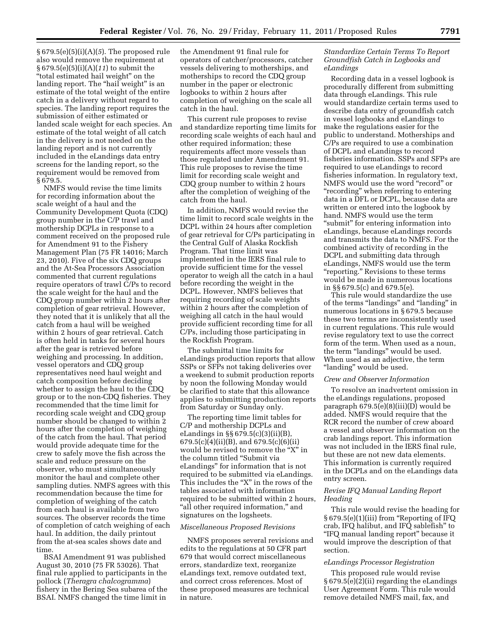§ 679.5(e)(5)(i)(A)(*5*). The proposed rule also would remove the requirement at § 679.5(e)(5)(i)(A)(*11*) to submit the "total estimated hail weight" on the landing report. The "hail weight" is an estimate of the total weight of the entire catch in a delivery without regard to species. The landing report requires the submission of either estimated or landed scale weight for each species. An estimate of the total weight of all catch in the delivery is not needed on the landing report and is not currently included in the eLandings data entry screens for the landing report, so the requirement would be removed from § 679.5.

NMFS would revise the time limits for recording information about the scale weight of a haul and the Community Development Quota (CDQ) group number in the C/P trawl and mothership DCPLs in response to a comment received on the proposed rule for Amendment 91 to the Fishery Management Plan (75 FR 14016; March 23, 2010). Five of the six CDQ groups and the At-Sea Processors Association commented that current regulations require operators of trawl C/Ps to record the scale weight for the haul and the CDQ group number within 2 hours after completion of gear retrieval. However, they noted that it is unlikely that all the catch from a haul will be weighed within 2 hours of gear retrieval. Catch is often held in tanks for several hours after the gear is retrieved before weighing and processing. In addition, vessel operators and CDQ group representatives need haul weight and catch composition before deciding whether to assign the haul to the CDQ group or to the non-CDQ fisheries. They recommended that the time limit for recording scale weight and CDQ group number should be changed to within 2 hours after the completion of weighing of the catch from the haul. That period would provide adequate time for the crew to safely move the fish across the scale and reduce pressure on the observer, who must simultaneously monitor the haul and complete other sampling duties. NMFS agrees with this recommendation because the time for completion of weighing of the catch from each haul is available from two sources. The observer records the time of completion of catch weighing of each haul. In addition, the daily printout from the at-sea scales shows date and time.

BSAI Amendment 91 was published August 30, 2010 (75 FR 53026). That final rule applied to participants in the pollock (*Theragra chalcogramma*) fishery in the Bering Sea subarea of the BSAI. NMFS changed the time limit in

the Amendment 91 final rule for operators of catcher/processors, catcher vessels delivering to motherships, and motherships to record the CDQ group number in the paper or electronic logbooks to within 2 hours after completion of weighing on the scale all catch in the haul.

This current rule proposes to revise and standardize reporting time limits for recording scale weights of each haul and other required information; these requirements affect more vessels than those regulated under Amendment 91. This rule proposes to revise the time limit for recording scale weight and CDQ group number to within 2 hours after the completion of weighing of the catch from the haul.

In addition, NMFS would revise the time limit to record scale weights in the DCPL within 24 hours after completion of gear retrieval for C/Ps participating in the Central Gulf of Alaska Rockfish Program. That time limit was implemented in the IERS final rule to provide sufficient time for the vessel operator to weigh all the catch in a haul before recording the weight in the DCPL. However, NMFS believes that requiring recording of scale weights within 2 hours after the completion of weighing all catch in the haul would provide sufficient recording time for all C/Ps, including those participating in the Rockfish Program.

The submittal time limits for eLandings production reports that allow SSPs or SFPs not taking deliveries over a weekend to submit production reports by noon the following Monday would be clarified to state that this allowance applies to submitting production reports from Saturday or Sunday only.

The reporting time limit tables for C/P and mothership DCPLs and eLandings in §§ 679.5(c)(3)(ii)(B), 679.5(c)(4)(ii)(B), and 679.5(c)(6)(ii) would be revised to remove the ''X'' in the column titled ''Submit via eLandings'' for information that is not required to be submitted via eLandings. This includes the "X" in the rows of the tables associated with information required to be submitted within 2 hours, "all other required information," and signatures on the logsheets.

#### *Miscellaneous Proposed Revisions*

NMFS proposes several revisions and edits to the regulations at 50 CFR part 679 that would correct miscellaneous errors, standardize text, reorganize eLandings text, remove outdated text, and correct cross references. Most of these proposed measures are technical in nature.

## *Standardize Certain Terms To Report Groundfish Catch in Logbooks and eLandings*

Recording data in a vessel logbook is procedurally different from submitting data through eLandings. This rule would standardize certain terms used to describe data entry of groundfish catch in vessel logbooks and eLandings to make the regulations easier for the public to understand. Motherships and C/Ps are required to use a combination of DCPL and eLandings to record fisheries information. SSPs and SFPs are required to use eLandings to record fisheries information. In regulatory text, NMFS would use the word "record" or "recording" when referring to entering data in a DFL or DCPL, because data are written or entered into the logbook by hand. NMFS would use the term "submit" for entering information into eLandings, because eLandings records and transmits the data to NMFS. For the combined activity of recording in the DCPL and submitting data through eLandings, NMFS would use the term "reporting." Revisions to these terms would be made in numerous locations in §§ 679.5(c) and 679.5(e).

This rule would standardize the use of the terms "landings" and "landing" in numerous locations in § 679.5 because these two terms are inconsistently used in current regulations. This rule would revise regulatory text to use the correct form of the term. When used as a noun, the term "landings" would be used. When used as an adjective, the term "landing" would be used.

#### *Crew and Observer Information*

To resolve an inadvertent omission in the eLandings regulations, proposed paragraph 679.5(e)(8)(iii)(D) would be added. NMFS would require that the RCR record the number of crew aboard a vessel and observer information on the crab landings report. This information was not included in the IERS final rule, but these are not new data elements. This information is currently required in the DCPLs and on the eLandings data entry screen.

## *Revise IFQ Manual Landing Report Heading*

This rule would revise the heading for § 679.5(e)(1)(iii) from ''Reporting of IFQ crab, IFQ halibut, and IFQ sablefish'' to ''IFQ manual landing report'' because it would improve the description of that section.

#### *eLandings Processor Registration*

This proposed rule would revise § 679.5(e)(2)(ii) regarding the eLandings User Agreement Form. This rule would remove detailed NMFS mail, fax, and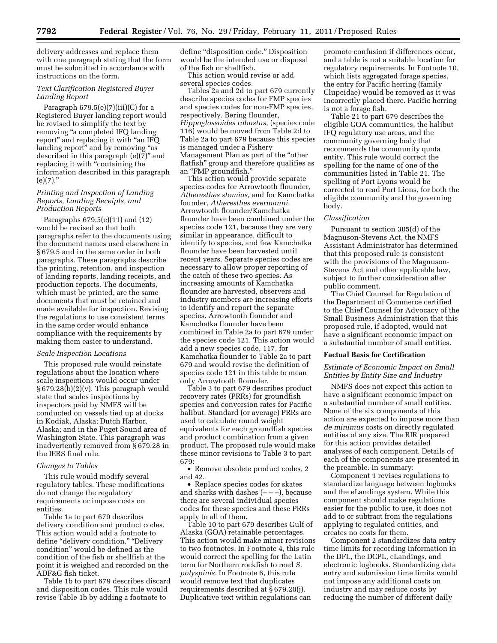delivery addresses and replace them with one paragraph stating that the form must be submitted in accordance with instructions on the form.

## *Text Clarification Registered Buyer Landing Report*

Paragraph  $679.5(e)(7)(iii)(C)$  for a Registered Buyer landing report would be revised to simplify the text by removing "a completed IFQ landing report'' and replacing it with ''an IFQ landing report" and by removing "as described in this paragraph (e)(7)'' and replacing it with ''containing the information described in this paragraph  $(e)(7)$ ."

## *Printing and Inspection of Landing Reports, Landing Receipts, and Production Reports*

Paragraphs 679.5(e)(11) and (12) would be revised so that both paragraphs refer to the documents using the document names used elsewhere in § 679.5 and in the same order in both paragraphs. These paragraphs describe the printing, retention, and inspection of landing reports, landing receipts, and production reports. The documents, which must be printed, are the same documents that must be retained and made available for inspection. Revising the regulations to use consistent terms in the same order would enhance compliance with the requirements by making them easier to understand.

#### *Scale Inspection Locations*

This proposed rule would reinstate regulations about the location where scale inspections would occur under  $§ 679.28(b)(2)(v)$ . This paragraph would state that scales inspections by inspectors paid by NMFS will be conducted on vessels tied up at docks in Kodiak, Alaska; Dutch Harbor, Alaska; and in the Puget Sound area of Washington State. This paragraph was inadvertently removed from § 679.28 in the IERS final rule.

#### *Changes to Tables*

This rule would modify several regulatory tables. These modifications do not change the regulatory requirements or impose costs on entities.

Table 1a to part 679 describes delivery condition and product codes. This action would add a footnote to define "delivery condition." "Delivery condition'' would be defined as the condition of the fish or shellfish at the point it is weighed and recorded on the ADF&G fish ticket.

Table 1b to part 679 describes discard and disposition codes. This rule would revise Table 1b by adding a footnote to

define "disposition code." Disposition would be the intended use or disposal of the fish or shellfish. This action would revise or add

several species codes.

Tables 2a and 2d to part 679 currently describe species codes for FMP species and species codes for non-FMP species, respectively. Bering flounder, *Hippoglossoides robustus,* (species code 116) would be moved from Table 2d to Table 2a to part 679 because this species is managed under a Fishery Management Plan as part of the ''other flatfish'' group and therefore qualifies as an ''FMP groundfish.''

This action would provide separate species codes for Arrowtooth flounder, *Atheresthes stomias,* and for Kamchatka founder, *Atheresthes evermanni.*  Arrowtooth flounder/Kamchatka flounder have been combined under the species code 121, because they are very similar in appearance, difficult to identify to species, and few Kamchatka flounder have been harvested until recent years. Separate species codes are necessary to allow proper reporting of the catch of these two species. As increasing amounts of Kamchatka flounder are harvested, observers and industry members are increasing efforts to identify and report the separate species. Arrowtooth flounder and Kamchatka flounder have been combined in Table 2a to part 679 under the species code 121. This action would add a new species code, 117, for Kamchatka flounder to Table 2a to part 679 and would revise the definition of species code 121 in this table to mean only Arrowtooth flounder.

Table 3 to part 679 describes product recovery rates (PRRs) for groundfish species and conversion rates for Pacific halibut. Standard (or average) PRRs are used to calculate round weight equivalents for each groundfish species and product combination from a given product. The proposed rule would make these minor revisions to Table 3 to part 679:

• Remove obsolete product codes, 2 and 42.

• Replace species codes for skates and sharks with dashes  $(- - -)$ , because there are several individual species codes for these species and these PRRs apply to all of them.

Table 10 to part 679 describes Gulf of Alaska (GOA) retainable percentages. This action would make minor revisions to two footnotes. In Footnote 4, this rule would correct the spelling for the Latin term for Northern rockfish to read *S. polyspinis.* In Footnote 6, this rule would remove text that duplicates requirements described at § 679.20(j). Duplicative text within regulations can

promote confusion if differences occur, and a table is not a suitable location for regulatory requirements. In Footnote 10, which lists aggregated forage species, the entry for Pacific herring (family Clupeidae) would be removed as it was incorrectly placed there. Pacific herring is not a forage fish.

Table 21 to part 679 describes the eligible GOA communities, the halibut IFQ regulatory use areas, and the community governing body that recommends the community quota entity. This rule would correct the spelling for the name of one of the communities listed in Table 21. The spelling of Port Lyons would be corrected to read Port Lions, for both the eligible community and the governing body.

#### *Classification*

Pursuant to section 305(d) of the Magnuson-Stevens Act, the NMFS Assistant Administrator has determined that this proposed rule is consistent with the provisions of the Magnuson-Stevens Act and other applicable law, subject to further consideration after public comment.

The Chief Counsel for Regulation of the Department of Commerce certified to the Chief Counsel for Advocacy of the Small Business Administration that this proposed rule, if adopted, would not have a significant economic impact on a substantial number of small entities.

#### **Factual Basis for Certification**

### *Estimate of Economic Impact on Small Entities by Entity Size and Industry*

NMFS does not expect this action to have a significant economic impact on a substantial number of small entities. None of the six components of this action are expected to impose more than *de minimus* costs on directly regulated entities of any size. The RIR prepared for this action provides detailed analyses of each component. Details of each of the components are presented in the preamble. In summary:

Component 1 revises regulations to standardize language between logbooks and the eLandings system. While this component should make regulations easier for the public to use, it does not add to or subtract from the regulations applying to regulated entities, and creates no costs for them.

Component 2 standardizes data entry time limits for recording information in the DFL, the DCPL, eLandings, and electronic logbooks. Standardizing data entry and submission time limits would not impose any additional costs on industry and may reduce costs by reducing the number of different daily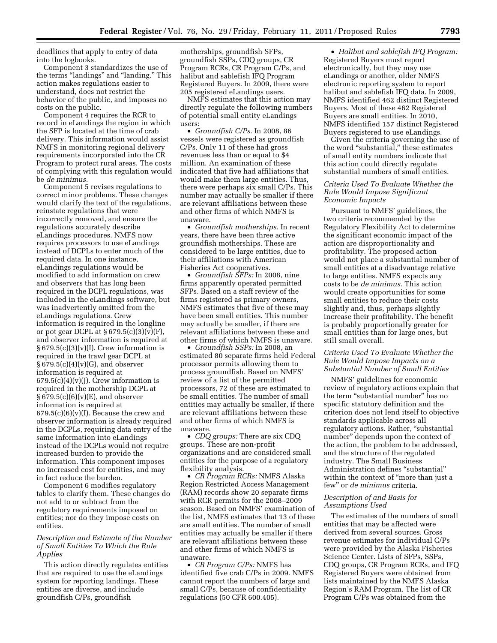deadlines that apply to entry of data into the logbooks.

Component 3 standardizes the use of the terms "landings" and "landing." This action makes regulations easier to understand, does not restrict the behavior of the public, and imposes no costs on the public.

Component 4 requires the RCR to record in eLandings the region in which the SFP is located at the time of crab delivery. This information would assist NMFS in monitoring regional delivery requirements incorporated into the CR Program to protect rural areas. The costs of complying with this regulation would be *de minimus.* 

Component 5 revises regulations to correct minor problems. These changes would clarify the text of the regulations, reinstate regulations that were incorrectly removed, and ensure the regulations accurately describe eLandings procedures. NMFS now requires processors to use eLandings instead of DCPLs to enter much of the required data. In one instance, eLandings regulations would be modified to add information on crew and observers that has long been required in the DCPL regulations, was included in the eLandings software, but was inadvertently omitted from the eLandings regulations. Crew information is required in the longline or pot gear DCPL at  $\S 679.5(c)(3)(v)(F)$ , and observer information is required at  $§ 679.5(c)(3)(v)(I)$ . Crew information is required in the trawl gear DCPL at § 679.5(c)(4)(v)(G), and observer information is required at  $679.5(c)(4)(v)(J)$ . Crew information is required in the mothership DCPL at  $§ 679.5(c)(6)(v)(E)$ , and observer information is required at  $679.5(c)(6)(v)(I)$ . Because the crew and observer information is already required in the DCPLs, requiring data entry of the same information into eLandings instead of the DCPLs would not require increased burden to provide the information. This component imposes no increased cost for entities, and may in fact reduce the burden.

Component 6 modifies regulatory tables to clarify them. These changes do not add to or subtract from the regulatory requirements imposed on entities; nor do they impose costs on entities.

### *Description and Estimate of the Number of Small Entities To Which the Rule Applies*

This action directly regulates entities that are required to use the eLandings system for reporting landings. These entities are diverse, and include groundfish C/Ps, groundfish

motherships, groundfish SFPs, groundfish SSPs, CDQ groups, CR Program RCRs, CR Program C/Ps, and halibut and sablefish IFQ Program Registered Buyers. In 2009, there were 205 registered eLandings users.

NMFS estimates that this action may directly regulate the following numbers of potential small entity eLandings users:

• *Groundfish C/Ps.* In 2008, 86 vessels were registered as groundfish C/Ps. Only 11 of these had gross revenues less than or equal to \$4 million. An examination of these indicated that five had affiliations that would make them large entities. Thus, there were perhaps six small C/Ps. This number may actually be smaller if there are relevant affiliations between these and other firms of which NMFS is unaware.

• *Groundfish motherships.* In recent years, there have been three active groundfish motherships. These are considered to be large entities, due to their affiliations with American Fisheries Act cooperatives.

• *Groundfish SFPs:* In 2008, nine firms apparently operated permitted SFPs. Based on a staff review of the firms registered as primary owners, NMFS estimates that five of these may have been small entities. This number may actually be smaller, if there are relevant affiliations between these and other firms of which NMFS is unaware.

• *Groundfish SSPs:* In 2008, an estimated 80 separate firms held Federal processor permits allowing them to process groundfish. Based on NMFS' review of a list of the permitted processors, 72 of these are estimated to be small entities. The number of small entities may actually be smaller, if there are relevant affiliations between these and other firms of which NMFS is unaware.

• *CDQ groups:* There are six CDQ groups. These are non-profit organizations and are considered small entities for the purpose of a regulatory flexibility analysis.

• *CR Program RCRs:* NMFS Alaska Region Restricted Access Management (RAM) records show 20 separate firms with RCR permits for the 2008–2009 season. Based on NMFS' examination of the list, NMFS estimates that 13 of these are small entities. The number of small entities may actually be smaller if there are relevant affiliations between these and other firms of which NMFS is unaware.

• *CR Program C/Ps:* NMFS has identified five crab C/Ps in 2009. NMFS cannot report the numbers of large and small C/Ps, because of confidentiality regulations (50 CFR 600.405).

• *Halibut and sablefish IFQ Program:*  Registered Buyers must report electronically, but they may use eLandings or another, older NMFS electronic reporting system to report halibut and sablefish IFQ data. In 2009, NMFS identified 462 distinct Registered Buyers. Most of these 462 Registered Buyers are small entities. In 2010, NMFS identified 157 distinct Registered Buyers registered to use eLandings.

Given the criteria governing the use of the word ''substantial,'' these estimates of small entity numbers indicate that this action could directly regulate substantial numbers of small entities.

## *Criteria Used To Evaluate Whether the Rule Would Impose Significant Economic Impacts*

Pursuant to NMFS' guidelines, the two criteria recommended by the Regulatory Flexibility Act to determine the significant economic impact of the action are disproportionality and profitability. The proposed action would not place a substantial number of small entities at a disadvantage relative to large entities. NMFS expects any costs to be *de minimus.* This action would create opportunities for some small entities to reduce their costs slightly and, thus, perhaps slightly increase their profitability. The benefit is probably proportionally greater for small entities than for large ones, but still small overall.

## *Criteria Used To Evaluate Whether the Rule Would Impose Impacts on a Substantial Number of Small Entities*

NMFS' guidelines for economic review of regulatory actions explain that the term "substantial number" has no specific statutory definition and the criterion does not lend itself to objective standards applicable across all regulatory actions. Rather, "substantial number'' depends upon the context of the action, the problem to be addressed, and the structure of the regulated industry. The Small Business Administration defines ''substantial'' within the context of "more than just a few'' or *de minimus* criteria.

#### *Description of and Basis for Assumptions Used*

The estimates of the numbers of small entities that may be affected were derived from several sources. Gross revenue estimates for individual C/Ps were provided by the Alaska Fisheries Science Center. Lists of SFPs, SSPs, CDQ groups, CR Program RCRs, and IFQ Registered Buyers were obtained from lists maintained by the NMFS Alaska Region's RAM Program. The list of CR Program C/Ps was obtained from the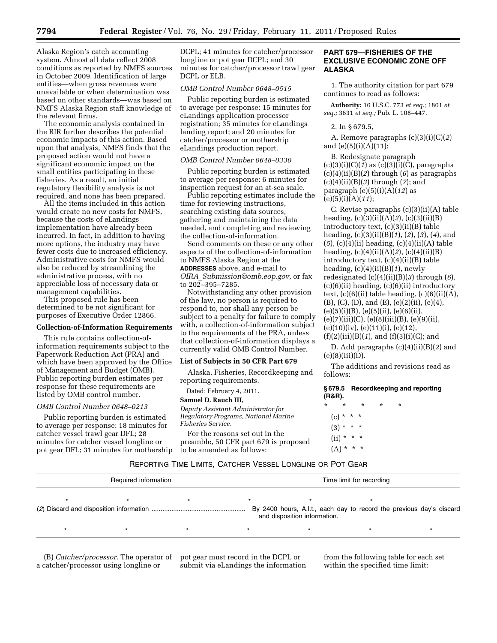Alaska Region's catch accounting system. Almost all data reflect 2008 conditions as reported by NMFS sources in October 2009. Identification of large entities—when gross revenues were unavailable or when determination was based on other standards—was based on NMFS Alaska Region staff knowledge of the relevant firms.

The economic analysis contained in the RIR further describes the potential economic impacts of this action. Based upon that analysis, NMFS finds that the proposed action would not have a significant economic impact on the small entities participating in these fisheries. As a result, an initial regulatory flexibility analysis is not required, and none has been prepared.

All the items included in this action would create no new costs for NMFS, because the costs of eLandings implementation have already been incurred. In fact, in addition to having more options, the industry may have fewer costs due to increased efficiency. Administrative costs for NMFS would also be reduced by streamlining the administrative process, with no appreciable loss of necessary data or management capabilities.

This proposed rule has been determined to be not significant for purposes of Executive Order 12866.

### **Collection-of-Information Requirements**

This rule contains collection-ofinformation requirements subject to the Paperwork Reduction Act (PRA) and which have been approved by the Office of Management and Budget (OMB). Public reporting burden estimates per response for these requirements are listed by OMB control number.

#### *OMB Control Number 0648–0213*

Public reporting burden is estimated to average per response: 18 minutes for catcher vessel trawl gear DFL; 28 minutes for catcher vessel longline or pot gear DFL; 31 minutes for mothership

DCPL; 41 minutes for catcher/processor longline or pot gear DCPL; and 30 minutes for catcher/processor trawl gear DCPL or ELB.

## *OMB Control Number 0648–0515*

Public reporting burden is estimated to average per response: 15 minutes for eLandings application processor registration; 35 minutes for eLandings landing report; and 20 minutes for catcher/processor or mothership eLandings production report.

#### *OMB Control Number 0648–0330*

Public reporting burden is estimated to average per response: 6 minutes for inspection request for an at-sea scale.

Public reporting estimates include the time for reviewing instructions, searching existing data sources, gathering and maintaining the data needed, and completing and reviewing the collection-of-information.

Send comments on these or any other aspects of the collection-of-information to NMFS Alaska Region at the **ADDRESSES** above, and e-mail to *OIRA*\_*[Submission@omb.eop.gov,](mailto:OIRA_Submission@omb.eop.gov)* or fax to 202–395–7285.

Notwithstanding any other provision of the law, no person is required to respond to, nor shall any person be subject to a penalty for failure to comply with, a collection-of-information subject to the requirements of the PRA, unless that collection-of-information displays a currently valid OMB Control Number.

## **List of Subjects in 50 CFR Part 679**

Alaska, Fisheries, Recordkeeping and reporting requirements.

Dated: February 4, 2011.

#### **Samuel D. Rauch III,**

*Deputy Assistant Administrator for Regulatory Programs, National Marine Fisheries Service.* 

For the reasons set out in the preamble, 50 CFR part 679 is proposed to be amended as follows:

## **PART 679—FISHERIES OF THE EXCLUSIVE ECONOMIC ZONE OFF ALASKA**

1. The authority citation for part 679 continues to read as follows:

**Authority:** 16 U.S.C. 773 *et seq.;* 1801 *et seq.;* 3631 *et seq.;* Pub. L. 108–447.

#### 2. In § 679.5,

A. Remove paragraphs (c)(3)(i)(C)(*2*) and (e)(5)(i)(A)(11);

B. Redesignate paragraph (c)(3)(i)(C)(*1*) as (c)(3)(i)(C), paragraphs (c)(4)(ii)(B)(*2*) through (*6*) as paragraphs (c)(4)(ii)(B)(*3*) through (*7*); and paragraph (e)(5)(i)(A)(*12*) as (e)(5)(i)(A)(*11*);

C. Revise paragraphs (c)(3)(ii)(A) table heading, (c)(3)(ii)(A)(*2*), (c)(3)(ii)(B) introductory text, (c)(3)(ii)(B) table heading, (c)(3)(ii)(B)(*1*), (*2*), (*3*), (*4*), and (*5*), (c)(4)(ii) heading, (c)(4)(ii)(A) table heading, (c)(4)(ii)(A)(*2*), (c)(4)(ii)(B) introductory text, (c)(4)(ii)(B) table heading, (c)(4)(ii)(B)(*1*), newly redesignated (c)(4)(ii)(B)(*3*) through (*6*), (c)(6)(ii) heading, (c)(6)(ii) introductory text,  $(c)(6)(ii)$  table heading,  $(c)(6)(ii)(A)$ , (B), (C), (D), and (E), (e)(2)(ii), (e)(4),  $(e)(5)(i)(B)$ ,  $(e)(5)(ii)$ ,  $(e)(6)(ii)$ ,  $(e)(7)(iii)(C), (e)(8)(iii)(B), (e)(9)(ii),$  $(e)(10)(iv), (e)(11)(i), (e)(12),$ (f)(2)(iii)(B)(*1*), and (f)(3)(i)(C); and

D. Add paragraphs (c)(4)(ii)(B)(*2*) and  $(e)(8)(iii)(D).$ 

The additions and revisions read as follows:

|        | §679.5 Recordkeeping and reporting |
|--------|------------------------------------|
| (R&R). |                                    |

| $\star$ | $^\star$       | ÷ | ÷ |  |
|---------|----------------|---|---|--|
|         | $(c) * * * *$  |   |   |  |
|         | $(3) * * * *$  |   |   |  |
|         | $(ii) * * * *$ |   |   |  |
|         | $(A) * * * *$  |   |   |  |

## REPORTING TIME LIMITS, CATCHER VESSEL LONGLINE OR POT GEAR

| Required information |  |  |                                                                                                      | Time limit for recording |  |
|----------------------|--|--|------------------------------------------------------------------------------------------------------|--------------------------|--|
|                      |  |  | By 2400 hours, A.I.t., each day to record the previous day's discard<br>and disposition information. |                          |  |
|                      |  |  |                                                                                                      |                          |  |

(B) *Catcher/processor.* The operator of a catcher/processor using longline or

pot gear must record in the DCPL or submit via eLandings the information

from the following table for each set within the specified time limit: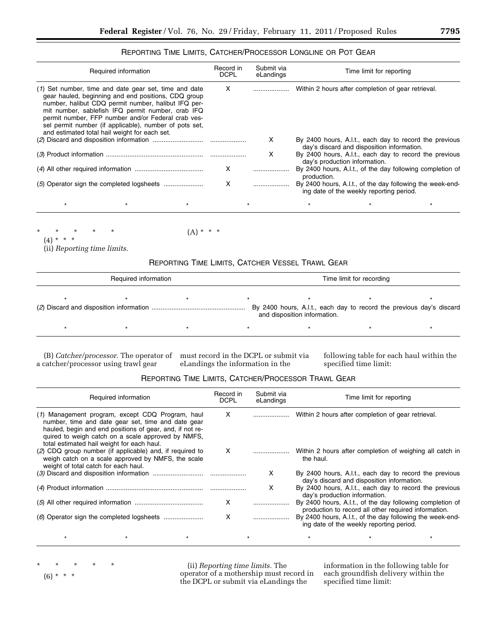## REPORTING TIME LIMITS, CATCHER/PROCESSOR LONGLINE OR POT GEAR

|                          | Required information                                                                                                                                                                                                                                                                                                                                                                      |         | Record in<br><b>DCPL</b> | Submit via<br>eLandings |             | Time limit for reporting                           |                                                           |
|--------------------------|-------------------------------------------------------------------------------------------------------------------------------------------------------------------------------------------------------------------------------------------------------------------------------------------------------------------------------------------------------------------------------------------|---------|--------------------------|-------------------------|-------------|----------------------------------------------------|-----------------------------------------------------------|
|                          | (1) Set number, time and date gear set, time and date<br>gear hauled, beginning and end positions, CDQ group<br>number, halibut CDQ permit number, halibut IFQ per-<br>mit number, sablefish IFQ permit number, crab IFQ<br>permit number, FFP number and/or Federal crab ves-<br>sel permit number (if applicable), number of pots set,<br>and estimated total hail weight for each set. |         | X                        |                         |             | Within 2 hours after completion of gear retrieval. |                                                           |
|                          |                                                                                                                                                                                                                                                                                                                                                                                           |         |                          | x                       |             | day's discard and disposition information.         | By 2400 hours, A.I.t., each day to record the previous    |
|                          |                                                                                                                                                                                                                                                                                                                                                                                           |         |                          | X                       |             | day's production information.                      | By 2400 hours, A.I.t., each day to record the previous    |
|                          |                                                                                                                                                                                                                                                                                                                                                                                           |         | х                        |                         | production. |                                                    | By 2400 hours, A.I.t., of the day following completion of |
|                          |                                                                                                                                                                                                                                                                                                                                                                                           |         | X                        |                         |             | ing date of the weekly reporting period.           | By 2400 hours, A.I.t., of the day following the week-end- |
| $\star$                  |                                                                                                                                                                                                                                                                                                                                                                                           | $\star$ | $\star$                  |                         |             |                                                    | $\star$                                                   |
| $\star$<br>$(4) * * * *$ | $\star$                                                                                                                                                                                                                                                                                                                                                                                   | (A)     | * * *                    |                         |             |                                                    |                                                           |

(ii) *Reporting time limits.* 

# REPORTING TIME LIMITS, CATCHER VESSEL TRAWL GEAR

| Required information |  |  | Time limit for recording                                                                             |  |  |  |
|----------------------|--|--|------------------------------------------------------------------------------------------------------|--|--|--|
|                      |  |  | By 2400 hours, A.I.t., each day to record the previous day's discard<br>and disposition information. |  |  |  |
|                      |  |  |                                                                                                      |  |  |  |

a catcher/processor using trawl gear

(B) *Catcher/processor.* The operator of must record in the DCPL or submit via eLandings the information in the

following table for each haul within the specified time limit:

# REPORTING TIME LIMITS, CATCHER/PROCESSOR TRAWL GEAR

|                                      | Required information                                                                                                                                                                                                                                                   | Record in<br><b>DCPL</b> | Submit via<br>eLandings |                                                    | Time limit for reporting                             |                                                           |
|--------------------------------------|------------------------------------------------------------------------------------------------------------------------------------------------------------------------------------------------------------------------------------------------------------------------|--------------------------|-------------------------|----------------------------------------------------|------------------------------------------------------|-----------------------------------------------------------|
|                                      | (1) Management program, except CDQ Program, haul<br>number, time and date gear set, time and date gear<br>hauled, begin and end positions of gear, and, if not re-<br>quired to weigh catch on a scale approved by NMFS.<br>total estimated hail weight for each haul. | X                        |                         | Within 2 hours after completion of gear retrieval. |                                                      |                                                           |
| weight of total catch for each haul. | (2) CDQ group number (if applicable) and, if required to<br>weigh catch on a scale approved by NMFS, the scale                                                                                                                                                         |                          | <b>X</b>                | the haul.                                          |                                                      | Within 2 hours after completion of weighing all catch in  |
|                                      |                                                                                                                                                                                                                                                                        |                          | х                       |                                                    | day's discard and disposition information.           | By 2400 hours, A.I.t., each day to record the previous    |
|                                      |                                                                                                                                                                                                                                                                        |                          | x                       | day's production information.                      |                                                      | By 2400 hours, A.I.t., each day to record the previous    |
|                                      |                                                                                                                                                                                                                                                                        | X                        |                         |                                                    | production to record all other required information. | By 2400 hours, A.I.t., of the day following completion of |
|                                      |                                                                                                                                                                                                                                                                        | x                        |                         |                                                    | ing date of the weekly reporting period.             | By 2400 hours, A.I.t., of the day following the week-end- |
|                                      |                                                                                                                                                                                                                                                                        |                          |                         |                                                    |                                                      |                                                           |

(6) \* \* \*

\* \* \* \* \*

(ii) *Reporting time limits.* The operator of a mothership must record in the DCPL or submit via eLandings the

information in the following table for each groundfish delivery within the specified time limit: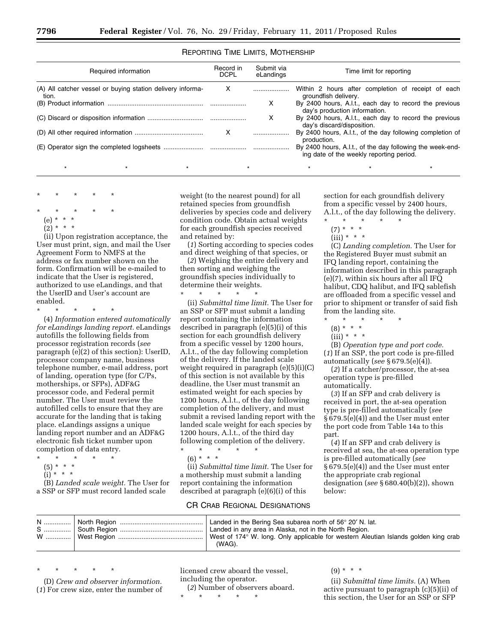## REPORTING TIME LIMITS, MOTHERSHIP

| Required information                                                | Record in<br><b>DCPL</b> | Submit via<br>eLandings | Time limit for reporting                                                                              |  |
|---------------------------------------------------------------------|--------------------------|-------------------------|-------------------------------------------------------------------------------------------------------|--|
| (A) All catcher vessel or buying station delivery informa-<br>tion. | X                        |                         | Within 2 hours after completion of receipt of each<br>groundfish delivery.                            |  |
|                                                                     |                          | x                       | By 2400 hours, A.I.t., each day to record the previous<br>day's production information.               |  |
|                                                                     |                          | х                       | By 2400 hours, A.I.t., each day to record the previous<br>day's discard/disposition.                  |  |
|                                                                     | $\mathsf{x}$             |                         | By 2400 hours, A.I.t., of the day following completion of<br>production.                              |  |
|                                                                     |                          |                         | By 2400 hours, A.I.t., of the day following the week-end-<br>ing date of the weekly reporting period. |  |
|                                                                     |                          |                         |                                                                                                       |  |

\* \* \* \* \*

- \* \* \* \* \*  $(e)$
- $(2) *$

(ii) Upon registration acceptance, the User must print, sign, and mail the User Agreement Form to NMFS at the address or fax number shown on the form. Confirmation will be e-mailed to indicate that the User is registered, authorized to use eLandings, and that the UserID and User's account are enabled.

\* \* \* \* \* (4) *Information entered automatically for eLandings landing report.* eLandings autofills the following fields from processor registration records (*see*  paragraph (e)(2) of this section): UserID, processor company name, business telephone number, e-mail address, port of landing, operation type (for C/Ps, motherships, or SFPs), ADF&G processor code, and Federal permit number. The User must review the autofilled cells to ensure that they are accurate for the landing that is taking place. eLandings assigns a unique landing report number and an ADF&G electronic fish ticket number upon completion of data entry.

- \* \* \* \* \*  $(5) * * * *$
- (i) \* \* \*

(B) *Landed scale weight.* The User for a SSP or SFP must record landed scale

weight (to the nearest pound) for all retained species from groundfish deliveries by species code and delivery condition code. Obtain actual weights for each groundfish species received and retained by:

(*1*) Sorting according to species codes and direct weighing of that species, or

(*2*) Weighing the entire delivery and then sorting and weighing the groundfish species individually to determine their weights.

\* \* \* \* \* (ii) *Submittal time limit.* The User for an SSP or SFP must submit a landing report containing the information described in paragraph (e)(5)(i) of this section for each groundfish delivery from a specific vessel by 1200 hours, A.l.t., of the day following completion of the delivery. If the landed scale weight required in paragraph (e)(5)(i)(C) of this section is not available by this deadline, the User must transmit an estimated weight for each species by 1200 hours, A.l.t., of the day following completion of the delivery, and must submit a revised landing report with the landed scale weight for each species by 1200 hours, A.l.t., of the third day following completion of the delivery. \* \* \* \* \*

 $(6) * * * *$ 

(ii) *Submittal time limit.* The User for a mothership must submit a landing report containing the information described at paragraph (e)(6)(i) of this

## CR CRAB REGIONAL DESIGNATIONS

section for each groundfish delivery from a specific vessel by 2400 hours, A.l.t., of the day following the delivery.

- $\star$   $\star$   $\star$
- $(7) * * * *$
- $(iii) * * * *$

(C) *Landing completion.* The User for the Registered Buyer must submit an IFQ landing report, containing the information described in this paragraph (e)(7), within six hours after all IFQ halibut, CDQ halibut, and IFQ sablefish are offloaded from a specific vessel and prior to shipment or transfer of said fish from the landing site.

- $\star$   $\star$
- $(8) * * * *$
- $(iii) * * * *$

(B) *Operation type and port code.*  (*1*) If an SSP, the port code is pre-filled automatically (*see* § 679.5(e)(4)).

(*2*) If a catcher/processor, the at-sea operation type is pre-filled automatically.

(*3*) If an SFP and crab delivery is received in port, the at-sea operation type is pre-filled automatically (*see*  § 679.5(e)(4)) and the User must enter the port code from Table 14a to this part.

(*4*) If an SFP and crab delivery is received at sea, the at-sea operation type is pre-filled automatically (*see*  § 679.5(e)(4)) and the User must enter the appropriate crab regional designation (*see* § 680.40(b)(2)), shown below:

|  | Landed in the Bering Sea subarea north of 56° 20' N. lat.<br>Landed in any area in Alaska, not in the North Region. |
|--|---------------------------------------------------------------------------------------------------------------------|
|  | West of 174° W. long. Only applicable for western Aleutian Islands golden king crab<br>(WAG).                       |

\* \* \* \* \*

(D) *Crew and observer information.*  (*1*) For crew size, enter the number of licensed crew aboard the vessel, including the operator.

(*2*) Number of observers aboard.

\* \* \* \* \*

 $(9) * * * *$ 

(ii) *Submittal time limits.* (A) When active pursuant to paragraph (c)(5)(ii) of this section, the User for an SSP or SFP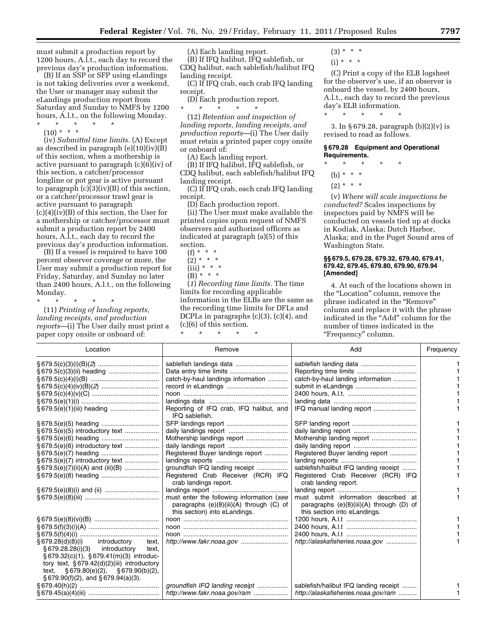must submit a production report by 1200 hours, A.l.t., each day to record the previous day's production information.

(B) If an SSP or SFP using eLandings is not taking deliveries over a weekend, the User or manager may submit the eLandings production report from Saturday and Sunday to NMFS by 1200 hours, A.l.t., on the following Monday.

\* \* \* \* \*  $(10) * * * *$ 

(iv) *Submittal time limits.* (A) Except as described in paragraph  $(e)(10)(iv)(B)$ of this section, when a mothership is active pursuant to paragraph (c)(6)(iv) of this section, a catcher/processor longline or pot gear is active pursuant to paragraph  $(c)(3)(iv)(B)$  of this section, or a catcher/processor trawl gear is active pursuant to paragraph (c)(4)(iv)(B) of this section, the User for a mothership or catcher/processor must submit a production report by 2400 hours, A.l.t., each day to record the previous day's production information.

(B) If a vessel is required to have 100 percent observer coverage or more, the User may submit a production report for Friday, Saturday, and Sunday no later than 2400 hours, A.l.t., on the following Monday.

\* \* \* \* \*

(11) *Printing of landing reports, landing receipts, and production reports*—(i) The User daily must print a paper copy onsite or onboard of:

(A) Each landing report.

(B) If IFQ halibut, IFQ sablefish, or CDQ halibut, each sablefish/halibut IFQ landing receipt.

(C) If IFQ crab, each crab IFQ landing receipt.

(D) Each production report. \* \* \* \* \*

(12) *Retention and inspection of landing reports, landing receipts, and production reports*—(i) The User daily must retain a printed paper copy onsite or onboard of:

(A) Each landing report.

(B) If IFQ halibut, IFQ sablefish, or CDQ halibut, each sablefish/halibut IFQ landing receipt.

(C) If IFQ crab, each crab IFQ landing receipt.

(D) Each production report.

(ii) The User must make available the printed copies upon request of NMFS observers and authorized officers as indicated at paragraph (a)(5) of this section.

- $(f) * *$
- $(2) * * * *$
- $(iii) * * * *$
- $(B)$ <sup>\*</sup> \* \*

(*1*) *Recording time limits.* The time limits for recording applicable information in the ELBs are the same as the recording time limits for DFLs and DCPLs in paragraphs (c)(3), (c)(4), and (c)(6) of this section.

\* \* \* \* \*

- $(3) * * * *$
- $(i) * * * *$

(C) Print a copy of the ELB logsheet for the observer's use, if an observer is onboard the vessel, by 2400 hours, A.l.t., each day to record the previous day's ELB information. \* \* \* \* \*

3. In § 679.28, paragraph (b)(2)(v) is revised to read as follows.

**§ 679.28 Equipment and Operational Requirements.** 

\* \* \* \* \*

(b) \* \* \*

 $(2) * * * *$ 

(v) *Where will scale inspections be conducted?* Scales inspections by inspectors paid by NMFS will be conducted on vessels tied up at docks in Kodiak, Alaska; Dutch Harbor, Alaska; and in the Puget Sound area of Washington State.

#### **§§ 679.5, 679.28, 679.32, 679.40, 679.41, 679.42, 679.45, 679.80, 679.90, 679.94 [Amended]**

4. At each of the locations shown in the "Location" column, remove the phrase indicated in the ''Remove'' column and replace it with the phrase indicated in the ''Add'' column for the number of times indicated in the "Frequency" column.

| Location                                                                                                                              | Remove                                                                                                                     | Add                                                                                                                  | Frequency |
|---------------------------------------------------------------------------------------------------------------------------------------|----------------------------------------------------------------------------------------------------------------------------|----------------------------------------------------------------------------------------------------------------------|-----------|
|                                                                                                                                       |                                                                                                                            |                                                                                                                      |           |
|                                                                                                                                       |                                                                                                                            |                                                                                                                      |           |
|                                                                                                                                       | catch-by-haul landings information                                                                                         | catch-by-haul landing information                                                                                    |           |
|                                                                                                                                       |                                                                                                                            |                                                                                                                      |           |
|                                                                                                                                       |                                                                                                                            |                                                                                                                      |           |
|                                                                                                                                       |                                                                                                                            |                                                                                                                      |           |
| § 679.5(e)(1)(iii) heading                                                                                                            | Reporting of IFQ crab, IFQ halibut, and<br>IFQ sablefish.                                                                  |                                                                                                                      |           |
|                                                                                                                                       |                                                                                                                            |                                                                                                                      |           |
| § 679.5(e)(5) introductory text                                                                                                       |                                                                                                                            |                                                                                                                      |           |
|                                                                                                                                       |                                                                                                                            | Mothership landing report                                                                                            |           |
| § 679.5(e)(6) introductory text                                                                                                       |                                                                                                                            |                                                                                                                      |           |
|                                                                                                                                       | Registered Buyer landings report                                                                                           | Registered Buyer landing report                                                                                      |           |
| § 679.5(e)(7) introductory text                                                                                                       |                                                                                                                            |                                                                                                                      |           |
| $\S 679.5(e)(7)(ii)(A)$ and (iii)(B)                                                                                                  | groundfish IFQ landing receipt                                                                                             | sablefish/halibut IFQ landing receipt                                                                                |           |
|                                                                                                                                       | Registered Crab Receiver (RCR) IFQ<br>crab landings report.                                                                | Registered Crab Receiver (RCR) IFQ<br>crab landing report.                                                           |           |
|                                                                                                                                       |                                                                                                                            |                                                                                                                      |           |
|                                                                                                                                       | must enter the following information (see<br>paragraphs $(e)(8)(iii)(A)$ through $(C)$ of<br>this section) into eLandings. | must submit information described at<br>paragraphs $(e)(8)(iii)(A)$ through $(D)$ of<br>this section into eLandings. |           |
|                                                                                                                                       |                                                                                                                            |                                                                                                                      |           |
|                                                                                                                                       |                                                                                                                            |                                                                                                                      |           |
|                                                                                                                                       |                                                                                                                            |                                                                                                                      |           |
| introductory<br>§ 679.28(d)(8)(i)<br>text.<br>$\S 679.28.28(i)(3)$ introductory<br>text.<br>§ 679.32(c)(1), § 679.41(m)(3) introduc-  |                                                                                                                            | http://alaskafisheries.noaa.gov                                                                                      |           |
| tory text, $§ 679.42(d)(2)(iii)$ introductory<br>text, $\S 679.80(e)(2)$ , $\S 679.90(b)(2)$ ,<br>§ 679.90(f)(2), and § 679.94(a)(3). |                                                                                                                            |                                                                                                                      |           |
|                                                                                                                                       | groundfish IFQ landing receipt                                                                                             | sablefish/halibut IFQ landing receipt                                                                                |           |
|                                                                                                                                       | http://www.fakr.noaa.gov/ram                                                                                               | http://alaskafisheries.noaa.gov/ram                                                                                  |           |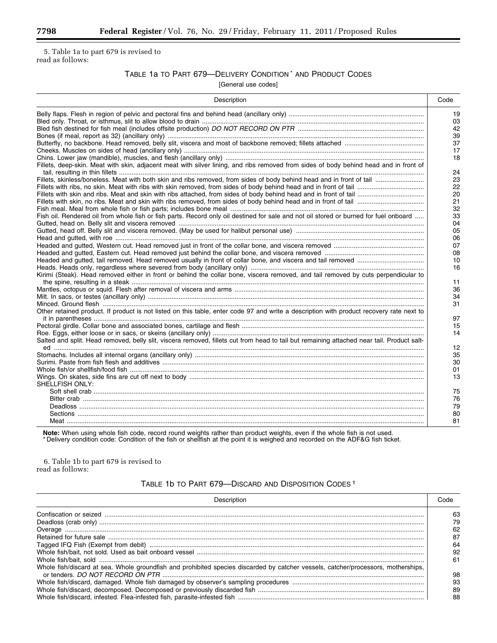5. Table 1a to part 679 is revised to read as follows:

# TABLE 1a TO PART 679—DELIVERY CONDITION \* AND PRODUCT CODES

[General use codes]

| Description                                                                                                                                | Code     |
|--------------------------------------------------------------------------------------------------------------------------------------------|----------|
|                                                                                                                                            | 19       |
|                                                                                                                                            | 03       |
|                                                                                                                                            | 42<br>39 |
|                                                                                                                                            | 37       |
|                                                                                                                                            | 17       |
|                                                                                                                                            | 18       |
| Fillets, deep-skin. Meat with skin, adjacent meat with silver lining, and ribs removed from sides of body behind head and in front of      | 24       |
|                                                                                                                                            | 23       |
|                                                                                                                                            | 22       |
|                                                                                                                                            | 20       |
|                                                                                                                                            | 21       |
|                                                                                                                                            | 32       |
| Fish oil. Rendered oil from whole fish or fish parts. Record only oil destined for sale and not oil stored or burned for fuel onboard      | 33       |
|                                                                                                                                            | 04       |
|                                                                                                                                            | 05       |
|                                                                                                                                            | 06<br>07 |
|                                                                                                                                            | 08       |
|                                                                                                                                            | 10       |
|                                                                                                                                            | 16       |
| Kirimi (Steak). Head removed either in front or behind the collar bone, viscera removed, and tail removed by cuts perpendicular to         |          |
|                                                                                                                                            | 11       |
|                                                                                                                                            | 36       |
|                                                                                                                                            | 34       |
|                                                                                                                                            | 31       |
| Other retained product. If product is not listed on this table, enter code 97 and write a description with product recovery rate next to   | 97       |
|                                                                                                                                            | 15       |
|                                                                                                                                            | 14       |
| Salted and split. Head removed, belly slit, viscera removed, fillets cut from head to tail but remaining attached near tail. Product salt- | 12       |
|                                                                                                                                            | 35       |
|                                                                                                                                            | 30       |
|                                                                                                                                            | 01       |
|                                                                                                                                            | 13       |
| SHELLFISH ONLY:                                                                                                                            |          |
|                                                                                                                                            | 75       |
|                                                                                                                                            | 76       |
|                                                                                                                                            | 79       |
|                                                                                                                                            | 80       |
|                                                                                                                                            | 81       |

**Note:** When using whole fish code, record round weights rather than product weights, even if the whole fish is not used.<br>\*Delivery condition code: Condition of the fish or shellfish at the point it is weighed and recorded

6. Table 1b to part 679 is revised to read as follows:

# TABLE 1b TO PART 679—DISCARD AND DISPOSITION CODES 1

| Description                                                                                                                       | aho:                 |
|-----------------------------------------------------------------------------------------------------------------------------------|----------------------|
|                                                                                                                                   | 63<br>79<br>62       |
|                                                                                                                                   | 87<br>64<br>92<br>61 |
| Whole fish/discard at sea. Whole groundfish and prohibited species discarded by catcher vessels, catcher/processors, motherships, | 98<br>93<br>89<br>88 |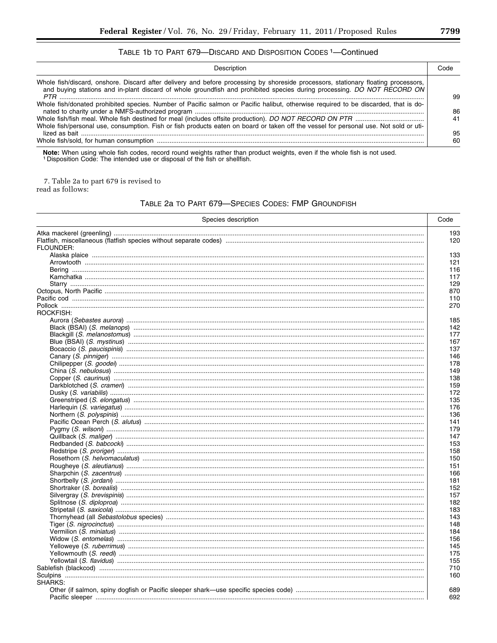## TABLE 1b TO PART 679-DISCARD AND DISPOSITION CODES <sup>1</sup>-Continued

| Description                                                                                                                                                                                                                                                   | Code     |
|---------------------------------------------------------------------------------------------------------------------------------------------------------------------------------------------------------------------------------------------------------------|----------|
| Whole fish/discard, onshore. Discard after delivery and before processing by shoreside processors, stationary floating processors,<br>and buying stations and in-plant discard of whole groundfish and prohibited species during processing. DO NOT RECORD ON | 99       |
| Whole fish/donated prohibited species. Number of Pacific salmon or Pacific halibut, otherwise required to be discarded, that is do-                                                                                                                           | 86       |
| Whole fish/personal use, consumption. Fish or fish products eaten on board or taken off the vessel for personal use. Not sold or uti-                                                                                                                         | 41<br>95 |
|                                                                                                                                                                                                                                                               | 60       |

Note: When using whole fish codes, record round weights rather than product weights, even if the whole fish is not used.<br>1 Disposition Code: The intended use or disposal of the fish or shellfish.

7. Table 2a to part 679 is revised to read as follows:

## TABLE 2a TO PART 679-SPECIES CODES: FMP GROUNDFISH

| Species description | Code       |
|---------------------|------------|
|                     | 193<br>120 |
| FLOUNDER:           |            |
|                     | 133        |
|                     | 121        |
|                     | 116        |
|                     | 117        |
|                     | 129        |
|                     | 870        |
|                     | 110        |
| ROCKFISH:           | 270        |
|                     | 185        |
|                     | 142        |
|                     |            |
|                     | 177        |
|                     | 167        |
|                     | 137        |
|                     | 146        |
|                     | 178        |
|                     | 149        |
|                     | 138        |
|                     | 159        |
|                     | 172        |
|                     | 135        |
|                     | 176        |
|                     | 136        |
|                     | 141        |
|                     | 179        |
|                     | 147        |
|                     | 153        |
|                     | 158        |
|                     | 150        |
|                     | 151        |
|                     | 166        |
|                     | 181        |
|                     | 152        |
|                     | 157        |
|                     | 182        |
|                     |            |
|                     | 183        |
|                     | 143        |
|                     | 148        |
|                     | 184        |
|                     | 156        |
|                     | 145        |
|                     | 175        |
|                     | 155        |
|                     | 710        |
|                     | 160        |
| SHARKS:             |            |
|                     | 689        |
|                     | 692        |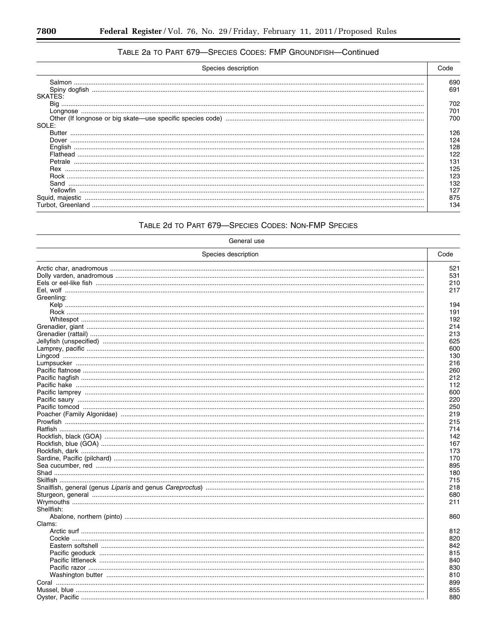۳

# TABLE 2a TO PART 679-SPECIES CODES: FMP GROUNDFISH-Continued

| Species description | Code |
|---------------------|------|
|                     | 690  |
|                     | 691  |
| SKATES:             |      |
|                     | 702  |
|                     | 701  |
|                     | 700  |
| SOLE:               |      |
|                     | 126  |
|                     | 124  |
|                     | 128  |
|                     |      |
|                     | 131  |
|                     | 125  |
|                     | 123  |
| Sand                | 132  |
| Yellowfin           | 127  |
|                     | 875  |
|                     | 134  |

# TABLE 2d TO PART 679-SPECIES CODES: NON-FMP SPECIES

| Species description<br>Code<br>Greenling: | General use |     |
|-------------------------------------------|-------------|-----|
|                                           |             |     |
|                                           |             | 521 |
|                                           |             | 531 |
|                                           |             | 210 |
|                                           |             | 217 |
|                                           |             |     |
|                                           |             | 194 |
|                                           |             | 191 |
|                                           |             | 192 |
|                                           |             | 214 |
|                                           |             | 213 |
|                                           |             | 625 |
|                                           |             | 600 |
|                                           |             | 130 |
|                                           |             | 216 |
|                                           |             | 260 |
|                                           |             | 212 |
|                                           |             | 112 |
|                                           |             | 600 |
|                                           |             | 220 |
|                                           |             | 250 |
|                                           |             | 219 |
|                                           |             | 215 |
|                                           |             | 714 |
|                                           |             | 142 |
|                                           |             | 167 |
|                                           |             | 173 |
|                                           |             | 170 |
|                                           |             | 895 |
|                                           |             | 180 |
|                                           |             | 715 |
|                                           |             | 218 |
|                                           |             |     |
|                                           |             | 680 |
|                                           |             | 211 |
| Shellfish:                                |             |     |
|                                           |             | 860 |
| Clams:                                    |             |     |
|                                           |             | 812 |
|                                           |             | 820 |
|                                           |             | 842 |
|                                           |             | 815 |
|                                           |             | 840 |
|                                           |             | 830 |
|                                           |             | 810 |
|                                           |             | 899 |
|                                           |             | 855 |
|                                           |             | 880 |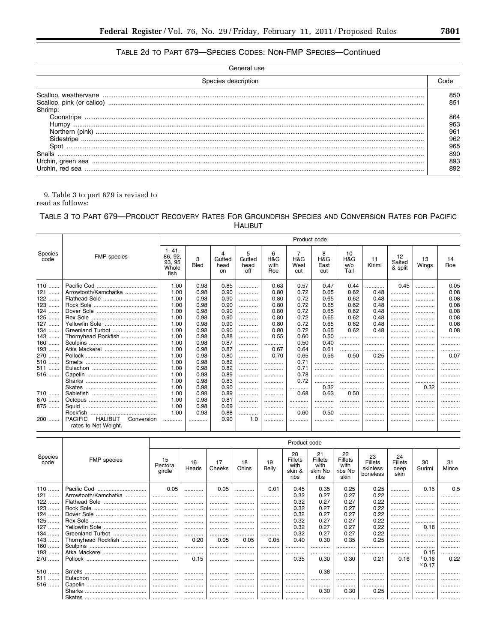# TABLE 2d TO PART 679-SPECIES CODES: NON-FMP SPECIES-Continued

| Species description |     |
|---------------------|-----|
|                     | 850 |
|                     | 851 |
| Shrimp:             |     |
| Coonstripe          | 864 |
| Humpy               | 963 |
|                     | 961 |
|                     | 962 |
| Spot                | 965 |
| <b>Snails</b>       | 890 |
|                     | 893 |
|                     | 892 |

 $9.$  Table 3 to part  $679$  is revised to read as follows:

# TABLE 3 TO PART 679-PRODUCT RECOVERY RATES FOR GROUNDFISH SPECIES AND CONVERSION RATES FOR PACIFIC **HALIBUT**

|                 |                                                                        |                                              |                  |                      |                            |                         | Product code            |                         |                          |              |                         |             |           |
|-----------------|------------------------------------------------------------------------|----------------------------------------------|------------------|----------------------|----------------------------|-------------------------|-------------------------|-------------------------|--------------------------|--------------|-------------------------|-------------|-----------|
| Species<br>code | FMP species                                                            | 1, 41,<br>86, 92,<br>93, 95<br>Whole<br>fish | 3<br><b>Bled</b> | Gutted<br>head<br>on | 5<br>Gutted<br>head<br>off | 6<br>H&G<br>with<br>Roe | 7<br>H&G<br>West<br>cut | 8<br>H&G<br>East<br>cut | 10<br>H&G<br>w/o<br>Tail | 11<br>Kirimi | 12<br>Salted<br>& split | 13<br>Wings | 14<br>Roe |
| $110$           |                                                                        | 1.00                                         | 0.98             | 0.85                 | .                          | 0.63                    | 0.57                    | 0.47                    | 0.44                     |              | 0.45                    |             | 0.05      |
| $121$           | Arrowtooth/Kamchatka                                                   | 1.00                                         | 0.98             | 0.90                 |                            | 0.80                    | 0.72                    | 0.65                    | 0.62                     | 0.48         |                         |             | 0.08      |
| $122$           |                                                                        | 1.00                                         | 0.98             | 0.90                 |                            | 0.80                    | 0.72                    | 0.65                    | 0.62                     | 0.48         |                         |             | 0.08      |
| $123$           |                                                                        | 1.00                                         | 0.98             | 0.90                 |                            | 0.80                    | 0.72                    | 0.65                    | 0.62                     | 0.48         |                         |             | 0.08      |
| 124             |                                                                        | 1.00                                         | 0.98             | 0.90                 | .                          | 0.80                    | 0.72                    | 0.65                    | 0.62                     | 0.48         |                         |             | 0.08      |
| $125$           |                                                                        | 1.00                                         | 0.98             | 0.90                 |                            | 0.80                    | 0.72                    | 0.65                    | 0.62                     | 0.48         | .                       |             | 0.08      |
| 127             | Yellowfin Sole                                                         | 1.00                                         | 0.98             | 0.90                 | .                          | 0.80                    | 0.72                    | 0.65                    | 0.62                     | 0.48         |                         |             | 0.08      |
| 134             |                                                                        | 1.00                                         | 0.98             | 0.90                 | .                          | 0.80                    | 0.72                    | 0.65                    | 0.62                     | 0.48         |                         |             | 0.08      |
| $143$           | Thornyhead Rockfish                                                    | 1.00                                         | 0.98             | 0.88                 |                            | 0.55                    | 0.60                    | 0.50                    | .                        |              | .                       |             |           |
| $160$           |                                                                        | 1.00                                         | 0.98             | 0.87                 | .                          |                         | 0.50                    | 0.40                    | .                        |              |                         |             | .         |
| $193$           |                                                                        | 1.00                                         | 0.98             | 0.87                 |                            | 0.67                    | 0.64                    | 0.61                    |                          |              |                         |             |           |
| 270             |                                                                        | 1.00                                         | 0.98             | 0.80                 |                            | 0.70                    | 0.65                    | 0.56                    | 0.50                     | 0.25         |                         |             | 0.07      |
| 510             |                                                                        | 1.00                                         | 0.98             | 0.82                 |                            |                         | 0.71                    |                         |                          | .            | .                       |             |           |
| $511$           |                                                                        | 1.00                                         | 0.98             | 0.82                 | .                          |                         | 0.71                    |                         |                          | .            | .                       |             |           |
| 516             |                                                                        | 1.00                                         | 0.98             | 0.89                 | .                          |                         | 0.78                    |                         |                          |              |                         |             |           |
|                 |                                                                        | 1.00                                         | 0.98             | 0.83                 |                            |                         | 0.72                    |                         |                          | .            |                         |             |           |
|                 |                                                                        | 1.00                                         | 0.98             | 0.90                 | .                          |                         |                         | 0.32                    | .                        |              | .                       | 0.32        |           |
| 710             |                                                                        | 1.00                                         | 0.98             | 0.89                 |                            |                         | 0.68                    | 0.63                    | 0.50                     |              |                         |             | .         |
| 870             |                                                                        | 1.00                                         | 0.98             | 0.81                 |                            |                         |                         |                         |                          |              | .                       |             | .         |
| 875             |                                                                        | 1.00                                         | 0.98             | 0.69                 | .                          |                         |                         |                         |                          |              | .                       |             | .         |
|                 | Rockfish                                                               | 1.00                                         | 0.98             | 0.88                 |                            |                         | 0.60                    | 0.50                    | .                        |              |                         |             |           |
| 200             | <b>PACIFIC</b><br><b>HALIBUT</b><br>Conversion<br>rates to Net Weight. |                                              |                  | 0.90                 | 1.0                        |                         |                         |                         |                          |              |                         |             |           |

|                 |                      |                          |             |              |                    |             | Product code                                   |                                                 |                                          |                                              |                                      |              |             |
|-----------------|----------------------|--------------------------|-------------|--------------|--------------------|-------------|------------------------------------------------|-------------------------------------------------|------------------------------------------|----------------------------------------------|--------------------------------------|--------------|-------------|
| Species<br>code | <b>FMP</b> species   | 15<br>Pectoral<br>girdle | 16<br>Heads | 17<br>Cheeks | 18<br>Chins        | 19<br>Belly | 20<br><b>Fillets</b><br>with<br>skin &<br>ribs | 21<br><b>Fillets</b><br>with<br>skin No<br>ribs | 22<br>Fillets<br>with<br>ribs No<br>skin | 23<br><b>Fillets</b><br>skinless<br>boneless | 24<br><b>Fillets</b><br>deep<br>skin | 30<br>Surimi | 31<br>Mince |
| $110$           | Pacific Cod          | 0.05                     |             | 0.05         |                    | 0.01        | 0.45                                           | 0.35                                            | 0.25                                     | 0.25                                         | .                                    | 0.15         | 0.5         |
| $121$           | Arrowtooth/Kamchatka | .                        |             | .            |                    |             | 0.32                                           | 0.27                                            | 0.27                                     | 0.22                                         |                                      |              |             |
| $122$           | Flathead Sole        |                          |             |              |                    | .           | 0.32                                           | 0.27                                            | 0.27                                     | 0.22                                         |                                      |              |             |
| $123$           | Rock Sole            |                          |             | .            |                    |             | 0.32                                           | 0.27                                            | 0.27                                     | 0.22                                         |                                      |              |             |
| $124$           | Dover Sole           |                          |             | .            |                    |             | 0.32                                           | 0.27                                            | 0.27                                     | 0.22                                         | .                                    |              |             |
| $125$           |                      |                          |             |              |                    |             | 0.32                                           | 0.27                                            | 0.27                                     | 0.22                                         |                                      |              |             |
| $127$           | Yellowfin Sole       |                          |             | .            |                    |             | 0.32                                           | 0.27                                            | 0.27                                     | 0.22                                         |                                      | 0.18         |             |
| $134$           | Greenland Turbot     |                          |             |              |                    |             | 0.32                                           | 0.27                                            | 0.27                                     | 0.22                                         |                                      |              |             |
| $143$           | Thornyhead Rockfish  |                          | 0.20        | 0.05         | 0.05               | 0.05        | 0.40                                           | 0.30                                            | 0.35                                     | 0.25                                         |                                      |              |             |
| $160$           |                      |                          |             | .            |                    |             | .                                              |                                                 | .                                        | .                                            | .                                    |              | .           |
| 193             | Atka Mackerel        |                          |             |              |                    |             |                                                |                                                 |                                          |                                              |                                      | 0.15         |             |
| 270             |                      |                          | 0.15        |              |                    |             | 0.35                                           | 0.30                                            | 0.30                                     | 0.21                                         | 0.16                                 | 10.16        | 0.22        |
|                 |                      |                          |             |              |                    |             |                                                |                                                 |                                          |                                              |                                      | 20.17        |             |
| $510$           |                      |                          |             |              |                    |             |                                                | 0.38                                            |                                          |                                              |                                      |              |             |
| 511             | Eulachon             |                          |             |              |                    |             |                                                |                                                 |                                          |                                              |                                      |              |             |
| $516$           |                      | .                        |             |              |                    |             |                                                |                                                 |                                          |                                              |                                      |              |             |
|                 |                      |                          |             |              |                    |             |                                                | 0.30                                            | 0.30                                     | 0.25                                         | .                                    |              |             |
|                 |                      |                          |             |              | المستستندا وووودوه | . 1         | . 1                                            | .                                               | .                                        | .                                            | .                                    | .            | .           |

۲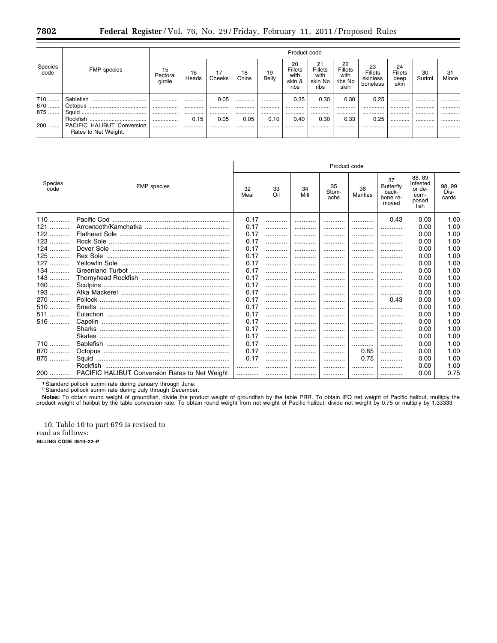|                 |                                                           |                          |             |              |             |             | Product code                            |                                                 |                                          |                                              |                                      |              |             |
|-----------------|-----------------------------------------------------------|--------------------------|-------------|--------------|-------------|-------------|-----------------------------------------|-------------------------------------------------|------------------------------------------|----------------------------------------------|--------------------------------------|--------------|-------------|
| Species<br>code | <b>FMP</b> species                                        | 15<br>Pectoral<br>girdle | 16<br>Heads | 17<br>Cheeks | 18<br>Chins | 19<br>Belly | 20<br>Fillets<br>with<br>skin &<br>ribs | 21<br><b>Fillets</b><br>with<br>skin No<br>ribs | 22<br>Fillets<br>with<br>ribs No<br>skin | 23<br><b>Fillets</b><br>skinless<br>boneless | 24<br><b>Fillets</b><br>deep<br>skin | 30<br>Surimi | 31<br>Mince |
| 710             | Sablefish                                                 |                          |             | 0.05         |             |             | 0.35                                    | 0.30                                            | 0.30                                     | 0.25                                         |                                      |              |             |
| 870<br>         | Octopus<br>                                               |                          |             |              |             |             |                                         |                                                 |                                          |                                              |                                      |              |             |
| 875<br>         |                                                           |                          |             |              |             |             |                                         |                                                 |                                          |                                              |                                      |              |             |
|                 |                                                           |                          | 0.15        | 0.05         | 0.05        | 0.10        | 0.40                                    | 0.30                                            | 0.33                                     | 0.25                                         | .                                    |              | .           |
| 200             | <b>PACIFIC HALIBUT Conversion</b><br>Rates to Net Weight. |                          |             |              |             |             |                                         |                                                 |                                          |                                              |                                      |              |             |

|                 |                                                       |            |           |            | Product code        |                      |                                               |                                                       |                         |
|-----------------|-------------------------------------------------------|------------|-----------|------------|---------------------|----------------------|-----------------------------------------------|-------------------------------------------------------|-------------------------|
| Species<br>code | <b>FMP</b> species                                    | 32<br>Meal | 33<br>Oil | 34<br>Milt | 35<br>Stom-<br>achs | 36<br><b>Mantles</b> | 37<br>Butterfly<br>back-<br>bone re-<br>moved | 88, 89<br>Infested<br>or de-<br>com-<br>posed<br>fish | 98, 99<br>Dis-<br>cards |
| 110             |                                                       | 0.17       | .         |            |                     |                      | 0.43                                          | 0.00                                                  | 1.00                    |
| 121             |                                                       | 0.17       |           |            |                     |                      |                                               | 0.00                                                  | 1.00                    |
| 122             |                                                       | 0.17       | .         |            |                     |                      |                                               | 0.00                                                  | 1.00                    |
| 123             |                                                       | 0.17       |           |            |                     |                      |                                               | 0.00                                                  | 1.00                    |
| 124             |                                                       | 0.17       | .         |            |                     |                      |                                               | 0.00                                                  | 1.00                    |
| 125             |                                                       | 0.17       | .         |            |                     |                      |                                               | 0.00                                                  | 1.00                    |
| 127             |                                                       | 0.17       |           |            |                     |                      |                                               | 0.00                                                  | 1.00                    |
| 134             |                                                       | 0.17       |           |            |                     |                      |                                               | 0.00                                                  | 1.00                    |
| $143$           |                                                       | 0.17       | .         |            |                     |                      |                                               | 0.00                                                  | 1.00                    |
| $160$           |                                                       | 0.17       | .         |            |                     |                      |                                               | 0.00                                                  | 1.00                    |
| 193             |                                                       | 0.17       | .         |            |                     |                      |                                               | 0.00                                                  | 1.00                    |
| 270             |                                                       | 0.17       | .         |            |                     |                      | 0.43                                          | 0.00                                                  | 1.00                    |
| 510             |                                                       | 0.17       | .         |            |                     |                      |                                               | 0.00                                                  | 1.00                    |
| 511             |                                                       | 0.17       | .         |            |                     |                      |                                               | 0.00                                                  | 1.00                    |
| 516             |                                                       | 0.17       | .         |            |                     | .                    |                                               | 0.00                                                  | 1.00                    |
|                 |                                                       | 0.17       | .         |            |                     |                      |                                               | 0.00                                                  | 1.00                    |
|                 |                                                       | 0.17       | .         |            |                     |                      |                                               | 0.00                                                  | 1.00                    |
| 710             |                                                       | 0.17       | .         |            |                     |                      |                                               | 0.00                                                  | 1.00                    |
| 870             |                                                       | 0.17       | .         |            |                     | 0.85                 |                                               | 0.00                                                  | 1.00                    |
| 875             |                                                       | 0.17       | .         |            |                     | 0.75                 |                                               | 0.00                                                  | 1.00                    |
|                 |                                                       |            | .         |            |                     |                      |                                               | 0.00                                                  | 1.00                    |
| $200$           | <b>PACIFIC HALIBUT Conversion Rates to Net Weight</b> |            |           |            |                     |                      |                                               | 0.00                                                  | 0.75                    |

<sup>1</sup> Standard pollock surimi rate during January through June.<br><sup>2</sup> Standard pollock surimi rate during July through December.

Notes: To obtain round weight of groundfish, divide the product weight of groundfish by the table PRR. To obtain IFQ net weight of Pacific halibut, multiply the product weight of groundfish, divide the product weight of pr

10. Table 10 to part 679 is revised to read as follows: BILLING CODE 3510-22-P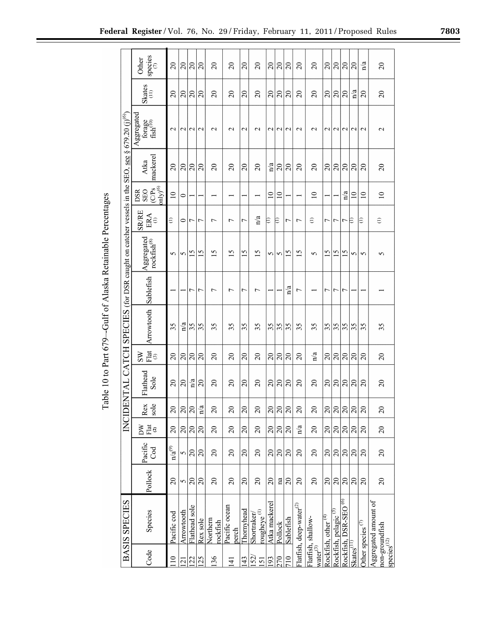|                                                                         | species<br>Other                                            | $\overline{c}$                | $\overline{c}$          | $\overline{c}$  | $\overline{c}$             | $\overline{c}$       | $\Omega$               | $\overline{c}$ | $\overline{c}$                        | $\overline{c}$          | $\overline{c}$ | $\Omega$        | $\overline{c}$                      | $\overline{c}$                                         | $\Omega$                       | $\overline{c}$                   | $\overline{c}$           | $\Omega$                                           | n/a                                       | $\overline{c}$                                                   |
|-------------------------------------------------------------------------|-------------------------------------------------------------|-------------------------------|-------------------------|-----------------|----------------------------|----------------------|------------------------|----------------|---------------------------------------|-------------------------|----------------|-----------------|-------------------------------------|--------------------------------------------------------|--------------------------------|----------------------------------|--------------------------|----------------------------------------------------|-------------------------------------------|------------------------------------------------------------------|
|                                                                         | Skates<br>(1)                                               | $\Omega$                      | $\overline{c}$          | $\Omega$        | $\Omega$                   | $\Omega$             | $\Omega$               | $\Omega$       | $\Omega$                              | $\Omega$                | $\Omega$       | $\Omega$        | $\overline{c}$                      | $\Omega$                                               | $\Omega$                       | $\Omega$                         | $\Omega$                 | $\overline{\mathbf{n}}$ a                          | $\Omega$                                  | $\Omega$                                                         |
| $§ 679.20 (i)$ <sup>(6)</sup>                                           | Aggregated<br>forage<br>fish <sup>(10)</sup>                | $\sim$                        | $\mathrel{\sim}$        | $\mathbf{\sim}$ | $\mathbf{\sim}$            | $\mathrel{\sim}$     | $\sim$                 | $\mathbf 2$    | $\sim$                                | $\sim$                  | $\sim$         | $\mathbf{\sim}$ | $\mathbf 2$                         | $\mathbf{\sim}$                                        | $\mathcal{L}$                  | $\mathcal{L}$                    | $\sim$                   | $\mathbf{\sim}$                                    | $\mathbf{\sim}$                           | $\mathbf{\sim}$                                                  |
|                                                                         | mackerel<br>Atka                                            | $\overline{c}$                | $\overline{20}$         | $\Omega$        | $\Omega$                   | $\Omega$             | $\Omega$               | $\overline{c}$ | $\Omega$                              | $\overline{\mathbf{a}}$ | $\overline{c}$ | $\Omega$        | $\overline{c}$                      | $\overline{c}$                                         | $\Omega$                       | $\Omega$                         | $\Omega$                 | $\Omega$                                           | $\Omega$                                  | $\Omega$                                                         |
|                                                                         | $\frac{\text{CPs}}{\text{only}^{6}}$<br><b>DSR</b><br>SEO   | $\overline{10}$               | $\circ$                 |                 |                            |                      |                        |                |                                       | $\approx$               | $\supseteq$    |                 |                                     | $\overline{10}$                                        |                                |                                  | $\mathbf{n}/\mathbf{a}$  | $\Xi$                                              | $\overline{10}$                           | $\Xi$                                                            |
|                                                                         | <b>SR/RE</b><br>ERA                                         | Ξ                             | 0                       | ٢               | 7                          | ↽                    | $\overline{ }$         | 7              | $\overline{\mathbf{a}}$               | €                       | E              | 7               | $\overline{ }$                      | ε                                                      | 7                              | Γ                                | Γ                        | Е                                                  | Ξ                                         | Θ                                                                |
|                                                                         | Aggregated<br>rockfish $^{\scriptscriptstyle{(8)}}$         | $\sim$                        | 5                       | S               | 5                          | $\overline{15}$      | S                      | 15             | 15                                    | 5                       | $\sigma$       | 15              | $\overline{15}$                     | $\sim$                                                 | 15                             | $\overline{15}$                  | S                        | S                                                  | $\sim$                                    | 5                                                                |
|                                                                         | Sablefish                                                   |                               |                         | $\overline{ }$  | 7                          | L                    | $\overline{ }$         | 7              | $\overline{ }$                        |                         |                | n/a             | <u>L</u>                            |                                                        | ᠇                              | $\overline{ }$                   | ٢                        |                                                    |                                           |                                                                  |
| JENTAL CATCH SPECIES (for DSR caught on catcher vessels in the SEO, see | Arrowtooth                                                  | 35                            | $\overline{\mathbf{n}}$ | 35              | 35                         | 35                   | 35                     | 35             | 35                                    | 35                      | 35             | 35              | 35                                  | 35                                                     | 35                             | 35                               | 35                       | 35                                                 | 5<br>3                                    | 35                                                               |
|                                                                         | $\mathop{\rm Flat}\nolimits_{(3)}$<br>$\overline{\text{S}}$ | $\overline{20}$               | $\overline{c}$          | $\overline{c}$  | $\overline{20}$            | $\overline{c}$       | $\Omega$               | $\overline{c}$ | $\Omega$                              | $\Omega$                | $\Omega$       | $\overline{c}$  | $\overline{c}$                      | $\frac{a}{b}$                                          | $\overline{c}$                 | $\Omega$                         | $\overline{c}$           | $\Omega$                                           | $\Omega$                                  | $\Omega$                                                         |
|                                                                         | Flathead<br>Sole                                            | $\overline{c}$                | $\Omega$                | $\frac{a}{a}$   | $\Omega$                   | $\overline{c}$       | $\Omega$               | $\Omega$       | $\Omega$                              | $\Omega$                | $\overline{c}$ | $\Omega$        | $\overline{c}$                      | $\overline{c}$                                         | $\overline{c}$                 | $\Omega$                         | $\Omega$                 | $\overline{c}$                                     | $\overline{c}$                            | $\Omega$                                                         |
|                                                                         | sole<br>$\sqrt{\text{Re}x}$                                 | $20\,$                        |                         | <u> ସ୍ଥା</u>    | $\mathfrak{a}$<br>$\equiv$ | $\overline{c}$       | $\overline{c}$         | $\overline{c}$ | $\overline{c}$                        |                         |                | $3 3 $ ସ        | $20\,$                              | $\overline{c}$                                         | $\frac{20}{2}$                 |                                  | $3 3 $ ସ $ $             |                                                    | $20\,$                                    | $\overline{c}$                                                   |
| INCII                                                                   | ÞΝ<br>$\vec{F}$ at                                          | $\overline{20}$               | $\Omega$                | <u> ମ୍ବ</u>     |                            | $\overline{c}$       | $\Omega$               | $\Omega$       | $\overline{c}$                        | $\overline{20}$         | $\overline{5}$ | $\Omega$        | n/a                                 | $\overline{c}$                                         | $\Omega$                       | $\overline{c}$                   | $\frac{1}{2}$            | $\overline{c}$                                     | 20                                        | $\Omega$                                                         |
|                                                                         | Pacific<br>S                                                | $\mathbf{n}/\mathbf{a}^{(9)}$ | 5                       | $\overline{c}$  | $\overline{c}$             | $\Omega$             | $\Omega$               | $\Omega$       | $\Omega$                              | $20\,$                  | $\Omega$       | $\Omega$        | $\overline{c}$                      | $\overline{c}$                                         | $\overline{20}$                | $\overline{c}$                   | $\overline{20}$          | $\overline{20}$                                    | $\overline{c}$                            | $\Omega$                                                         |
|                                                                         | Pollock                                                     | $\overline{c}$                | 5                       | $\overline{c}$  | $\overline{c}$             | $\overline{c}$       | $\Omega$               | $\Omega$       | $\Omega$                              | $\Omega$                | na             | $\Omega$        | $\overline{c}$                      | $\overline{c}$                                         | $\Omega$                       | $\Omega$                         | $\overline{c}$           | $\overline{c}$                                     | $\overline{c}$                            | $\overline{c}$                                                   |
| BASIS SPECIES                                                           | Species                                                     | Pacific cod                   | Arrowtooth              | Flathead sole   | Rex sole                   | Northern<br>rockfish | Pacific ocean<br>perch | Thomyhead      | rougheye <sup>(1)</sup><br>Shortraker | Atka mackere            | Pollock        | Sablefish       | "latfish, deep-water <sup>(2)</sup> | <sup>7</sup> latfish, shallow-<br>vater <sup>(3)</sup> | Rockfish, other <sup>(4)</sup> | Nockfish, pelagic <sup>(5)</sup> | <b>Rockfish, DSR-SEO</b> |                                                    | Other species $\overline{(\overline{v})}$ | ggregated amount of<br>non-groundfish<br>rpecies <sup>(12)</sup> |
|                                                                         | Code                                                        | $\equiv$                      | $\overline{c}$          | 22              | 5                          | 36                   | $\pm$                  | 43             | $\frac{2}{5}$                         | 93                      | $\sqrt{2}$     | $\equiv$        |                                     |                                                        |                                |                                  |                          | skates <sup><math>\overrightarrow{AT}</math></sup> |                                           |                                                                  |

Table 10 to Part 679-Gulf of Alaska Retainable Percentages

**Federal Register** / Vol. 76, No. 29 / Friday, February 11, 2011 / Proposed Rules **7803**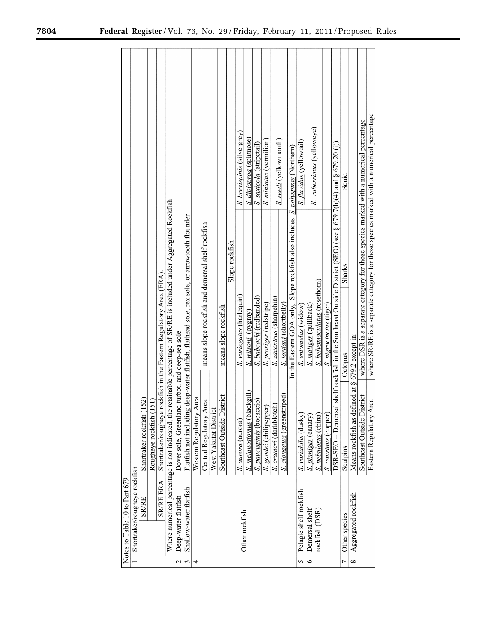|                               |                              | (152)               | (151)             | e rockfish in the Eastern Regulatory Area (ERA) | Where numerical percentage is not indicated, the retainable percentage of SR/RE is included under Aggregated Rockfish | Dover sole, Greenland turbot, and deep-sea sole | Flatfish not including deep-water flatfish, flathead sole, rex sole, or arrowtooth flounder | y Area             | means slope rockfish and demersal shelf rockfish<br>Area | $\overline{\mathbf{c}}$ | means slope rockfish<br>District | Slope rockfish | S. brevispinis (silvergrey)<br>S. variegates (harlequin) | S. diploproa (splitnose)<br>S. wilsoni (pygmy) | S. saxicola (stripetail)<br>S. babcocki (redbanded) | <b>S.</b> miniatus (vermilion)<br>S. proriger (redstripe) | S. zacentrus (sharpchin) | S. reedi (yellowmouth)<br>S. <i>jordani</i> (shortbelly) | In the Eastern GOA only, Slope rockfish also includes <i>S. polyspinis</i> (Northern) | S. flavidus (yellowtail)<br>S. entomelas (widow) | S. ruberrimus (yelloweye)<br>S. <i>maliger</i> (quillback) | S. helvomaculatus (rosethorn) | S. nigrocinctus (tiger) | sal shelf rockfish in the Southeast Outside District (SEO) (see § 679.7(b)(4) and § 679.20 (j)). | Squid<br><b>Sharks</b><br>Octopus | Means rockfish as defined at § 679.2 except in: | where DSR is a separate category for those species marked with a numerical percentage<br>District | where SR/RE is a separate category for those species marked with a numerical percentage<br>Area |
|-------------------------------|------------------------------|---------------------|-------------------|-------------------------------------------------|-----------------------------------------------------------------------------------------------------------------------|-------------------------------------------------|---------------------------------------------------------------------------------------------|--------------------|----------------------------------------------------------|-------------------------|----------------------------------|----------------|----------------------------------------------------------|------------------------------------------------|-----------------------------------------------------|-----------------------------------------------------------|--------------------------|----------------------------------------------------------|---------------------------------------------------------------------------------------|--------------------------------------------------|------------------------------------------------------------|-------------------------------|-------------------------|--------------------------------------------------------------------------------------------------|-----------------------------------|-------------------------------------------------|---------------------------------------------------------------------------------------------------|-------------------------------------------------------------------------------------------------|
|                               |                              | Shortraker rockfish | Rougheye rockfish | Shortraker/roughey                              |                                                                                                                       |                                                 |                                                                                             | Western Regulatory | Central Regulatory                                       | West Yakutat Distr      | Southeast Outside 1              |                | S. <i>aurora</i> (aurora)                                | S. melanostomus (blackgill)                    | <b>S.</b> paucispinis (bocaccio)                    | S. goodei (chilipepper)                                   | S. crameri (darkblotch)  | S. elongatus (greenstriped)                              |                                                                                       | S. variabilis (dusky)                            | S. pinniger (canary)                                       | S. nebulosus (china)          | S. caurinus (copper)    | $DSR-SEO = Demer$                                                                                | Sculpins                          |                                                 | Southeast Outside                                                                                 | Eastern Regulatory                                                                              |
| Notes to Table 10 to Part 679 | Shortraker/rougheye rockfish | <b>SR/RE</b>        |                   | <b>SR/RE ERA</b>                                |                                                                                                                       | Deep-water flatfish<br>$\overline{\mathcal{C}}$ | Shallow-water flatfish<br>3                                                                 | 4                  |                                                          |                         |                                  |                | Other rockfish                                           |                                                |                                                     |                                                           |                          |                                                          |                                                                                       | Pelagic shelf rockfish<br>5                      | Demersal shelf<br>$\overline{\phantom{0}}$                 | rockfish (DSR)                |                         |                                                                                                  | Other species<br>٣                | Aggregated rockfish<br>$\infty$                 |                                                                                                   |                                                                                                 |

۰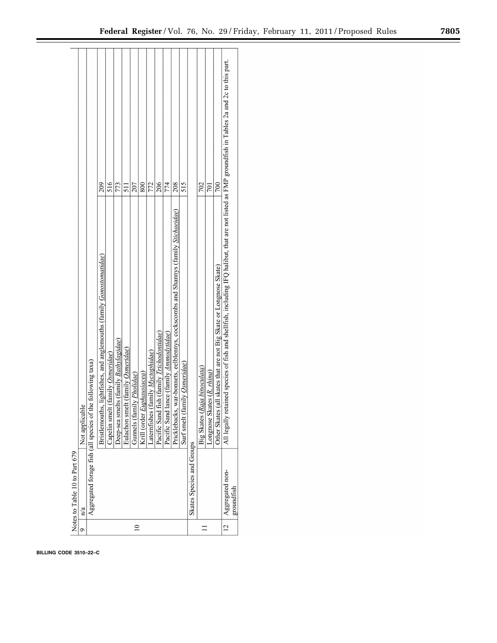|                | Notes to Table 10 to Part 679 |                                                                                                                                                    |     |  |
|----------------|-------------------------------|----------------------------------------------------------------------------------------------------------------------------------------------------|-----|--|
| ᡋ              | n/a                           | Not applicable                                                                                                                                     |     |  |
|                |                               | Aggregated forage fish (all species of the following taxa)                                                                                         |     |  |
|                |                               | Bristlemouths, lightfishes, and anglemouths (family Gonostomatidae)                                                                                | 209 |  |
|                |                               | Capelin smelt (family <i>Osmeridae</i> )                                                                                                           | 516 |  |
|                |                               | Oeep-sea smelts (family Bathylagidae)                                                                                                              | 773 |  |
|                |                               | Eulachon smelt (family Osmeridae)                                                                                                                  | 511 |  |
|                |                               | Gunnels (family <i>Pholidae</i> )                                                                                                                  | 207 |  |
|                |                               | Krill (order Euphausiacea)                                                                                                                         | 800 |  |
|                |                               | Laternfishes (family Myctophidae)                                                                                                                  | 772 |  |
|                |                               | Pacific Sand fish (family <i>Trichodontidae</i> )                                                                                                  | 206 |  |
|                |                               | Pacific Sand lance (family Ammodytidae)                                                                                                            | 774 |  |
|                |                               | Pricklebacks, war-bonnets, eelblennys, cockscombs and Shannys (family Stichaeidae)                                                                 | 208 |  |
|                |                               | Surf smelt (family Osmeridae)                                                                                                                      | 515 |  |
|                | Skates Species and Groups     |                                                                                                                                                    |     |  |
|                |                               | Raja binoculata)<br>Big Skates (                                                                                                                   | 702 |  |
|                |                               | Longnose Skates (R. rhina)                                                                                                                         | 701 |  |
|                |                               | Other Skates (all skates that are not Big Skate or Longnose Skate)                                                                                 | 700 |  |
| $\overline{c}$ | Aggregated non-               | All legally retained species of fish and shellfish, including IFQ halibut, that are not listed as FMP groundfish in Tables 2a and 2c to this part. |     |  |
|                | groundfish                    |                                                                                                                                                    |     |  |

**BILLING CODE 3510–22–C**